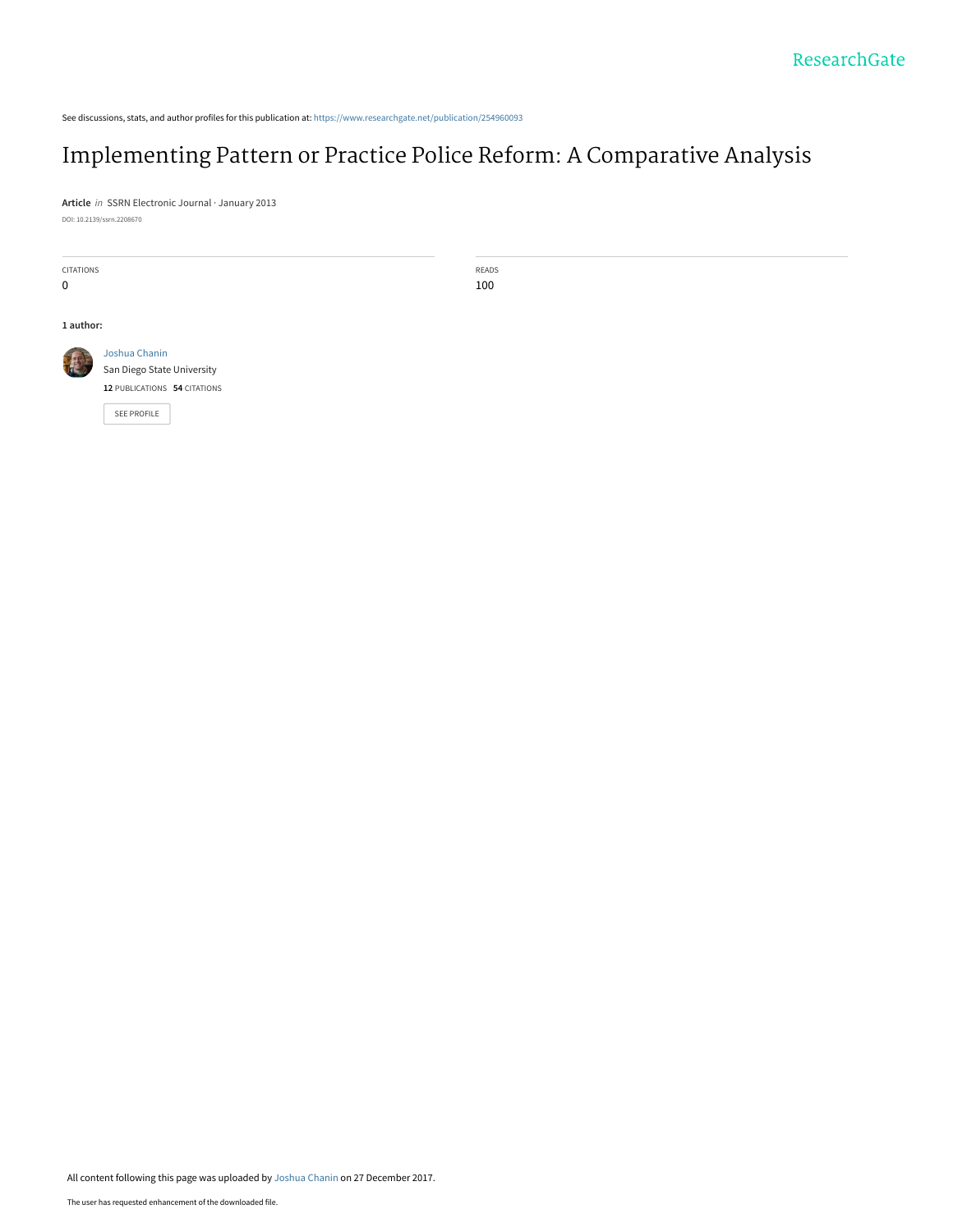See discussions, stats, and author profiles for this publication at: [https://www.researchgate.net/publication/254960093](https://www.researchgate.net/publication/254960093_Implementing_Pattern_or_Practice_Police_Reform_A_Comparative_Analysis?enrichId=rgreq-f8215aab10e5270ff37a4cbd338f6d62-XXX&enrichSource=Y292ZXJQYWdlOzI1NDk2MDA5MztBUzo1NzYzMTQ1MzEwOTA0MzJAMTUxNDQxNTQ5OTU1NQ%3D%3D&el=1_x_2&_esc=publicationCoverPdf)

# [Implementing Pattern or Practice Police Reform: A Comparative Analysis](https://www.researchgate.net/publication/254960093_Implementing_Pattern_or_Practice_Police_Reform_A_Comparative_Analysis?enrichId=rgreq-f8215aab10e5270ff37a4cbd338f6d62-XXX&enrichSource=Y292ZXJQYWdlOzI1NDk2MDA5MztBUzo1NzYzMTQ1MzEwOTA0MzJAMTUxNDQxNTQ5OTU1NQ%3D%3D&el=1_x_3&_esc=publicationCoverPdf)

READS 100

**Article** in SSRN Electronic Journal · January 2013 DOI: 10.2139/ssrn.2208670

| <b>CITATIONS</b> |                              |
|------------------|------------------------------|
| U                |                              |
|                  |                              |
|                  |                              |
| 1 author:        |                              |
|                  |                              |
|                  | Joshua Chanin                |
|                  | San Diego State University   |
|                  | 12 PUBLICATIONS 54 CITATIONS |
|                  | <b>SEE PROFILE</b>           |
|                  |                              |
|                  |                              |
|                  |                              |

All content following this page was uploaded by [Joshua Chanin](https://www.researchgate.net/profile/Joshua_Chanin?enrichId=rgreq-f8215aab10e5270ff37a4cbd338f6d62-XXX&enrichSource=Y292ZXJQYWdlOzI1NDk2MDA5MztBUzo1NzYzMTQ1MzEwOTA0MzJAMTUxNDQxNTQ5OTU1NQ%3D%3D&el=1_x_10&_esc=publicationCoverPdf) on 27 December 2017.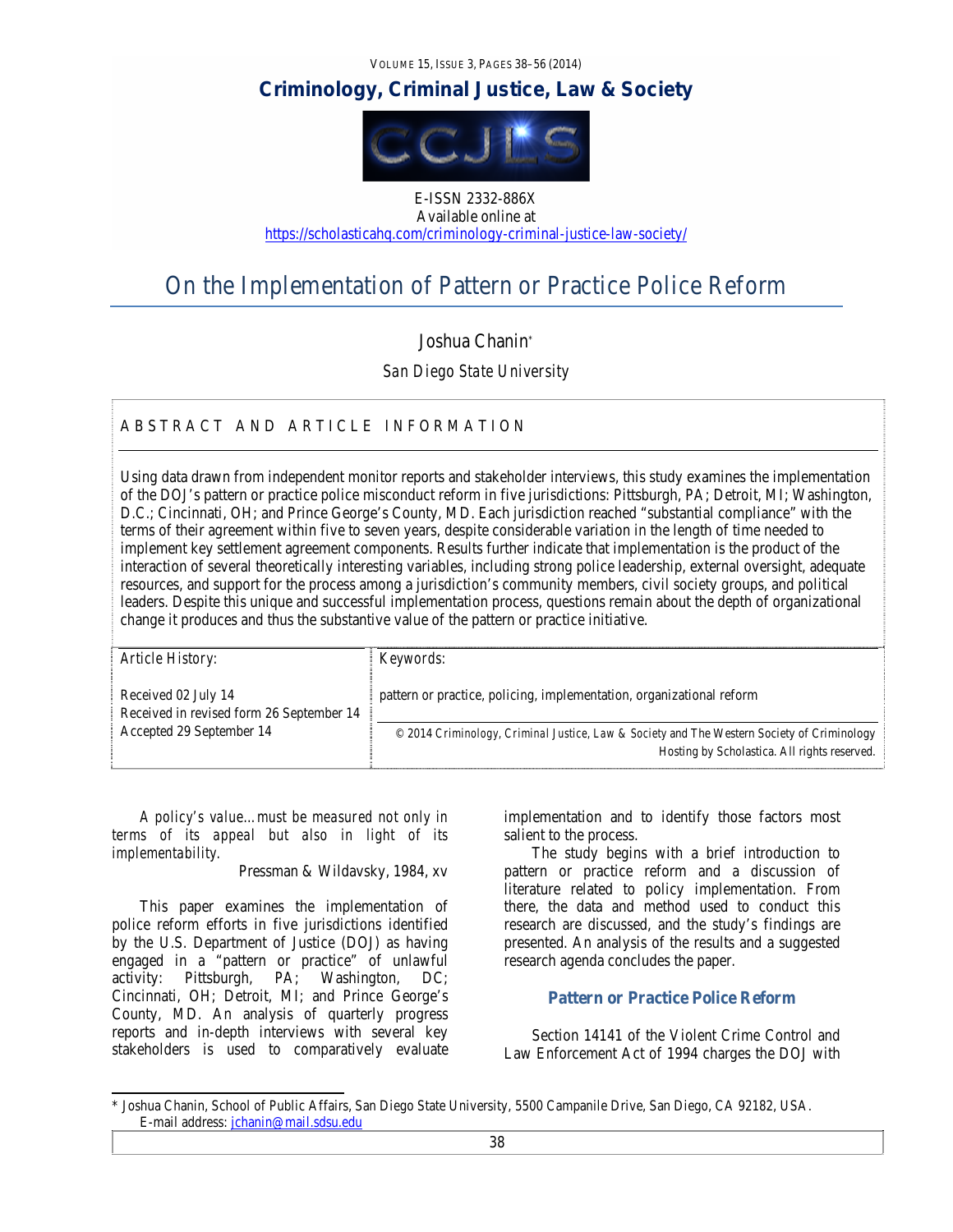VOLUME 15, ISSUE 3, PAGES 38–56 (2014)

# *Criminology, Criminal Justice, Law & Society*



E-ISSN 2332-886X Available online at https://scholasticahq.com/criminology-criminal-justice-law-society/

# On the Implementation of Pattern or Practice Police Reform

# Joshua Chanin\*

*San Diego State University* 

# ABSTRACT AND ARTICLE INFORMATION

Using data drawn from independent monitor reports and stakeholder interviews, this study examines the implementation of the DOJ's pattern or practice police misconduct reform in five jurisdictions: Pittsburgh, PA; Detroit, MI; Washington, D.C.; Cincinnati, OH; and Prince George's County, MD. Each jurisdiction reached "substantial compliance" with the terms of their agreement within five to seven years, despite considerable variation in the length of time needed to implement key settlement agreement components. Results further indicate that implementation is the product of the interaction of several theoretically interesting variables, including strong police leadership, external oversight, adequate resources, and support for the process among a jurisdiction's community members, civil society groups, and political leaders. Despite this unique and successful implementation process, questions remain about the depth of organizational change it produces and thus the substantive value of the pattern or practice initiative.

| Article History:                                                | Keywords:                                                                                                                                  |
|-----------------------------------------------------------------|--------------------------------------------------------------------------------------------------------------------------------------------|
| Received 02 July 14<br>Received in revised form 26 September 14 | pattern or practice, policing, implementation, organizational reform                                                                       |
| Accepted 29 September 14                                        | © 2014 Criminology, Criminal Justice, Law & Society and The Western Society of Criminology<br>Hosting by Scholastica. All rights reserved. |

*A policy's value…must be measured not only in terms of its appeal but also in light of its implementability.* 

Pressman & Wildavsky, 1984, xv

This paper examines the implementation of police reform efforts in five jurisdictions identified by the U.S. Department of Justice (DOJ) as having engaged in a "pattern or practice" of unlawful activity: Pittsburgh, PA; Washington, DC; Cincinnati, OH; Detroit, MI; and Prince George's County, MD. An analysis of quarterly progress reports and in-depth interviews with several key stakeholders is used to comparatively evaluate implementation and to identify those factors most salient to the process.

The study begins with a brief introduction to pattern or practice reform and a discussion of literature related to policy implementation. From there, the data and method used to conduct this research are discussed, and the study's findings are presented. An analysis of the results and a suggested research agenda concludes the paper.

# **Pattern or Practice Police Reform**

Section 14141 of the Violent Crime Control and Law Enforcement Act of 1994 charges the DOJ with

<sup>\*</sup> Joshua Chanin, School of Public Affairs, San Diego State University, 5500 Campanile Drive, San Diego, CA 92182, USA. E-mail address: jchanin@mail.sdsu.edu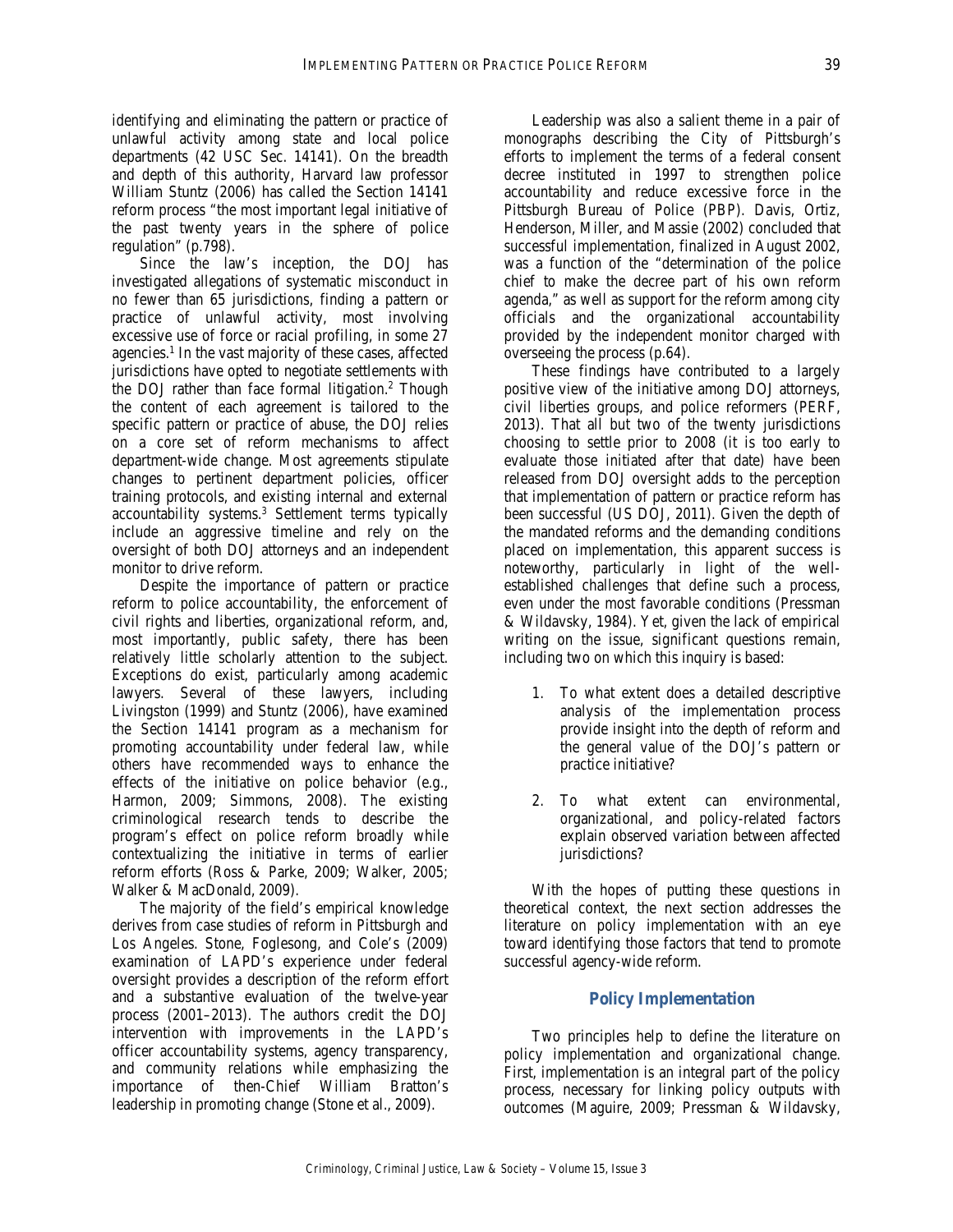identifying and eliminating the pattern or practice of unlawful activity among state and local police departments (42 USC Sec. 14141). On the breadth and depth of this authority, Harvard law professor William Stuntz (2006) has called the Section 14141 reform process "the most important legal initiative of the past twenty years in the sphere of police regulation" (p.798).

Since the law's inception, the DOJ has investigated allegations of systematic misconduct in no fewer than 65 jurisdictions, finding a pattern or practice of unlawful activity, most involving excessive use of force or racial profiling, in some 27 agencies.<sup>1</sup> In the vast majority of these cases, affected jurisdictions have opted to negotiate settlements with the DOJ rather than face formal litigation.<sup>2</sup> Though the content of each agreement is tailored to the specific pattern or practice of abuse, the DOJ relies on a core set of reform mechanisms to affect department-wide change. Most agreements stipulate changes to pertinent department policies, officer training protocols, and existing internal and external accountability systems.3 Settlement terms typically include an aggressive timeline and rely on the oversight of both DOJ attorneys and an independent monitor to drive reform.

Despite the importance of pattern or practice reform to police accountability, the enforcement of civil rights and liberties, organizational reform, and, most importantly, public safety, there has been relatively little scholarly attention to the subject. Exceptions do exist, particularly among academic lawyers. Several of these lawyers, including Livingston (1999) and Stuntz (2006), have examined the Section 14141 program as a mechanism for promoting accountability under federal law, while others have recommended ways to enhance the effects of the initiative on police behavior (e.g., Harmon, 2009; Simmons, 2008). The existing criminological research tends to describe the program's effect on police reform broadly while contextualizing the initiative in terms of earlier reform efforts (Ross & Parke, 2009; Walker, 2005; Walker & MacDonald, 2009).

The majority of the field's empirical knowledge derives from case studies of reform in Pittsburgh and Los Angeles. Stone, Foglesong, and Cole's (2009) examination of LAPD's experience under federal oversight provides a description of the reform effort and a substantive evaluation of the twelve-year process (2001–2013). The authors credit the DOJ intervention with improvements in the LAPD's officer accountability systems, agency transparency, and community relations while emphasizing the importance of then-Chief William Bratton's leadership in promoting change (Stone et al., 2009).

Leadership was also a salient theme in a pair of monographs describing the City of Pittsburgh's efforts to implement the terms of a federal consent decree instituted in 1997 to strengthen police accountability and reduce excessive force in the Pittsburgh Bureau of Police (PBP). Davis, Ortiz, Henderson, Miller, and Massie (2002) concluded that successful implementation, finalized in August 2002, was a function of the "determination of the police chief to make the decree part of his own reform agenda," as well as support for the reform among city officials and the organizational accountability provided by the independent monitor charged with overseeing the process (p.64).

These findings have contributed to a largely positive view of the initiative among DOJ attorneys, civil liberties groups, and police reformers (PERF, 2013). That all but two of the twenty jurisdictions choosing to settle prior to 2008 (it is too early to evaluate those initiated after that date) have been released from DOJ oversight adds to the perception that implementation of pattern or practice reform has been successful (US DOJ, 2011). Given the depth of the mandated reforms and the demanding conditions placed on implementation, this apparent success is noteworthy, particularly in light of the wellestablished challenges that define such a process, even under the most favorable conditions (Pressman & Wildavsky, 1984). Yet, given the lack of empirical writing on the issue, significant questions remain, including two on which this inquiry is based:

- 1. To what extent does a detailed descriptive analysis of the implementation process provide insight into the depth of reform and the general value of the DOJ's pattern or practice initiative?
- 2. To what extent can environmental, organizational, and policy-related factors explain observed variation between affected jurisdictions?

With the hopes of putting these questions in theoretical context, the next section addresses the literature on policy implementation with an eye toward identifying those factors that tend to promote successful agency-wide reform.

# **Policy Implementation**

Two principles help to define the literature on policy implementation and organizational change. First, implementation is an integral part of the policy process, necessary for linking policy outputs with outcomes (Maguire, 2009; Pressman & Wildavsky,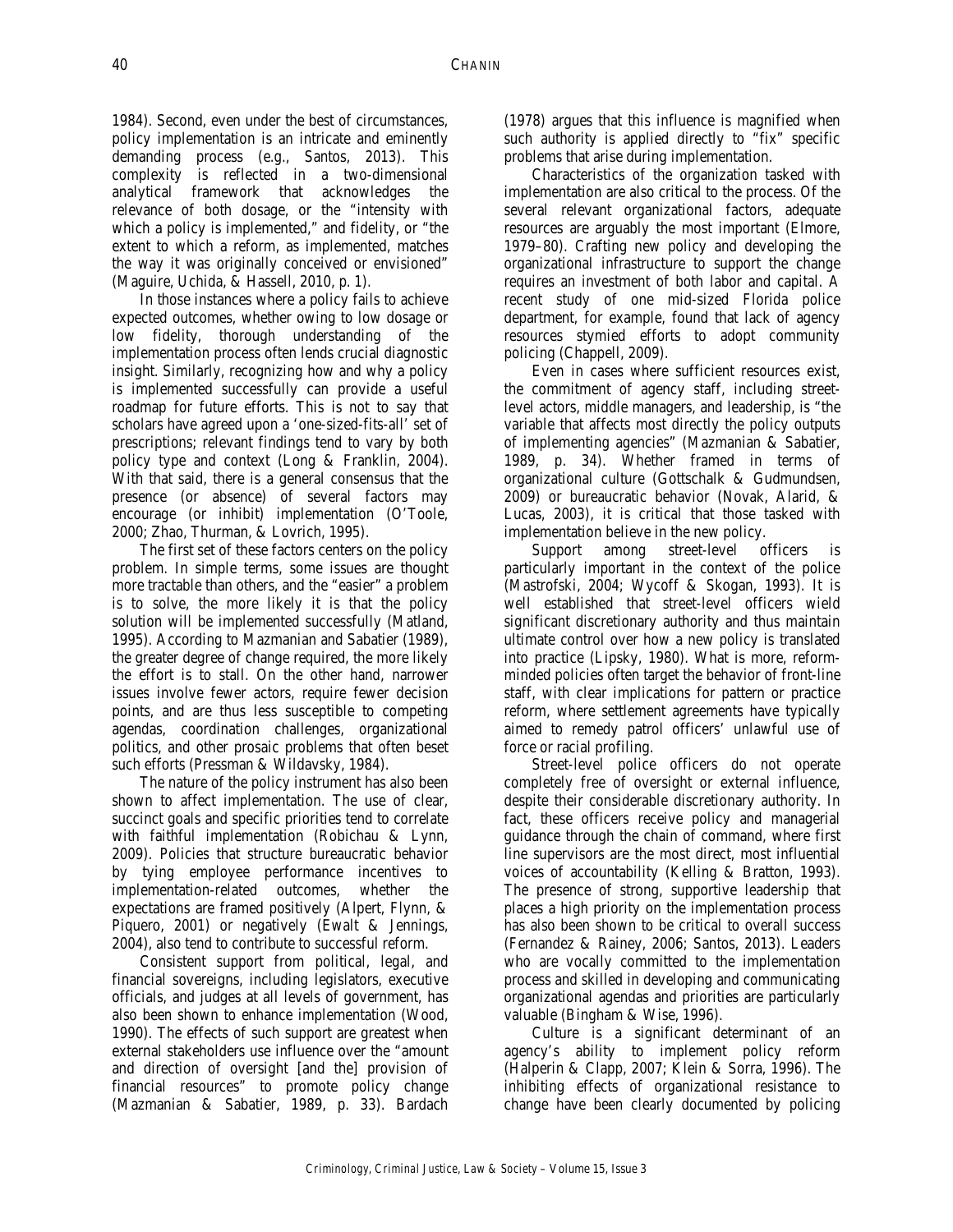1984). Second, even under the best of circumstances, policy implementation is an intricate and eminently demanding process (e.g., Santos, 2013). This complexity is reflected in a two-dimensional analytical framework that acknowledges the relevance of both dosage, or the "intensity with which a policy is implemented," and fidelity, or "the extent to which a reform, as implemented, matches the way it was originally conceived or envisioned" (Maguire, Uchida, & Hassell, 2010, p. 1).

In those instances where a policy fails to achieve expected outcomes, whether owing to low dosage or low fidelity, thorough understanding of the implementation process often lends crucial diagnostic insight. Similarly, recognizing how and why a policy is implemented successfully can provide a useful roadmap for future efforts. This is not to say that scholars have agreed upon a 'one-sized-fits-all' set of prescriptions; relevant findings tend to vary by both policy type and context (Long & Franklin, 2004). With that said, there is a general consensus that the presence (or absence) of several factors may encourage (or inhibit) implementation (O'Toole, 2000; Zhao, Thurman, & Lovrich, 1995).

The first set of these factors centers on the policy problem. In simple terms, some issues are thought more tractable than others, and the "easier" a problem is to solve, the more likely it is that the policy solution will be implemented successfully (Matland, 1995). According to Mazmanian and Sabatier (1989), the greater degree of change required, the more likely the effort is to stall. On the other hand, narrower issues involve fewer actors, require fewer decision points, and are thus less susceptible to competing agendas, coordination challenges, organizational politics, and other prosaic problems that often beset such efforts (Pressman & Wildavsky, 1984).

The nature of the policy instrument has also been shown to affect implementation. The use of clear, succinct goals and specific priorities tend to correlate with faithful implementation (Robichau & Lynn, 2009). Policies that structure bureaucratic behavior by tying employee performance incentives to implementation-related outcomes, whether the expectations are framed positively (Alpert, Flynn, & Piquero, 2001) or negatively (Ewalt & Jennings, 2004), also tend to contribute to successful reform.

Consistent support from political, legal, and financial sovereigns, including legislators, executive officials, and judges at all levels of government, has also been shown to enhance implementation (Wood, 1990). The effects of such support are greatest when external stakeholders use influence over the "amount and direction of oversight [and the] provision of financial resources" to promote policy change (Mazmanian & Sabatier, 1989, p. 33). Bardach

(1978) argues that this influence is magnified when such authority is applied directly to "fix" specific problems that arise during implementation.

Characteristics of the organization tasked with implementation are also critical to the process. Of the several relevant organizational factors, adequate resources are arguably the most important (Elmore, 1979–80). Crafting new policy and developing the organizational infrastructure to support the change requires an investment of both labor and capital. A recent study of one mid-sized Florida police department, for example, found that lack of agency resources stymied efforts to adopt community policing (Chappell, 2009).

Even in cases where sufficient resources exist, the commitment of agency staff, including streetlevel actors, middle managers, and leadership, is "the variable that affects most directly the policy outputs of implementing agencies" (Mazmanian & Sabatier, 1989, p. 34). Whether framed in terms of organizational culture (Gottschalk & Gudmundsen, 2009) or bureaucratic behavior (Novak, Alarid, & Lucas, 2003), it is critical that those tasked with implementation believe in the new policy.

Support among street-level officers is particularly important in the context of the police (Mastrofski, 2004; Wycoff & Skogan, 1993). It is well established that street-level officers wield significant discretionary authority and thus maintain ultimate control over how a new policy is translated into practice (Lipsky, 1980). What is more, reformminded policies often target the behavior of front-line staff, with clear implications for pattern or practice reform, where settlement agreements have typically aimed to remedy patrol officers' unlawful use of force or racial profiling.

Street-level police officers do not operate completely free of oversight or external influence, despite their considerable discretionary authority. In fact, these officers receive policy and managerial guidance through the chain of command, where first line supervisors are the most direct, most influential voices of accountability (Kelling & Bratton, 1993). The presence of strong, supportive leadership that places a high priority on the implementation process has also been shown to be critical to overall success (Fernandez & Rainey, 2006; Santos, 2013). Leaders who are vocally committed to the implementation process and skilled in developing and communicating organizational agendas and priorities are particularly valuable (Bingham & Wise, 1996).

Culture is a significant determinant of an agency's ability to implement policy reform (Halperin & Clapp, 2007; Klein & Sorra, 1996). The inhibiting effects of organizational resistance to change have been clearly documented by policing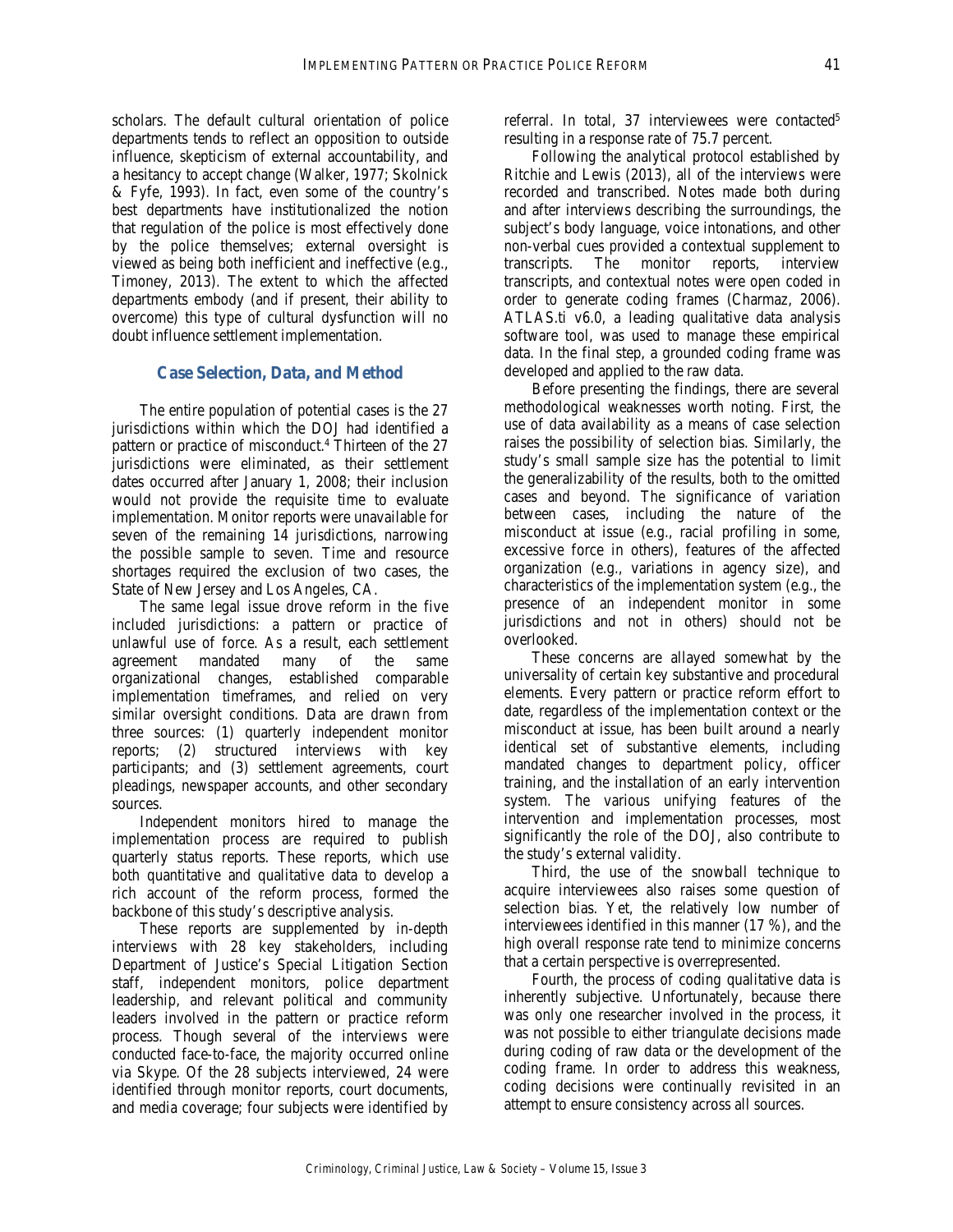scholars. The default cultural orientation of police departments tends to reflect an opposition to outside influence, skepticism of external accountability, and a hesitancy to accept change (Walker, 1977; Skolnick & Fyfe, 1993). In fact, even some of the country's best departments have institutionalized the notion that regulation of the police is most effectively done by the police themselves; external oversight is viewed as being both inefficient and ineffective (e.g., Timoney, 2013). The extent to which the affected departments embody (and if present, their ability to overcome) this type of cultural dysfunction will no doubt influence settlement implementation.

#### **Case Selection, Data, and Method**

The entire population of potential cases is the 27 jurisdictions within which the DOJ had identified a pattern or practice of misconduct.<sup>4</sup> Thirteen of the 27 jurisdictions were eliminated, as their settlement dates occurred after January 1, 2008; their inclusion would not provide the requisite time to evaluate implementation. Monitor reports were unavailable for seven of the remaining 14 jurisdictions, narrowing the possible sample to seven. Time and resource shortages required the exclusion of two cases, the State of New Jersey and Los Angeles, CA.

The same legal issue drove reform in the five included jurisdictions: a pattern or practice of unlawful use of force. As a result, each settlement agreement mandated many of the same organizational changes, established comparable implementation timeframes, and relied on very similar oversight conditions. Data are drawn from three sources: (1) quarterly independent monitor reports; (2) structured interviews with key participants; and (3) settlement agreements, court pleadings, newspaper accounts, and other secondary sources.

Independent monitors hired to manage the implementation process are required to publish quarterly status reports. These reports, which use both quantitative and qualitative data to develop a rich account of the reform process, formed the backbone of this study's descriptive analysis.

These reports are supplemented by in-depth interviews with 28 key stakeholders, including Department of Justice's Special Litigation Section staff, independent monitors, police department leadership, and relevant political and community leaders involved in the pattern or practice reform process. Though several of the interviews were conducted face-to-face, the majority occurred online via Skype. Of the 28 subjects interviewed, 24 were identified through monitor reports, court documents, and media coverage; four subjects were identified by

referral. In total, 37 interviewees were contacted<sup>5</sup> resulting in a response rate of 75.7 percent.

Following the analytical protocol established by Ritchie and Lewis (2013), all of the interviews were recorded and transcribed. Notes made both during and after interviews describing the surroundings, the subject's body language, voice intonations, and other non-verbal cues provided a contextual supplement to transcripts. The monitor reports, interview transcripts, and contextual notes were open coded in order to generate coding frames (Charmaz, 2006). ATLAS.ti v6.0, a leading qualitative data analysis software tool, was used to manage these empirical data. In the final step, a grounded coding frame was developed and applied to the raw data.

Before presenting the findings, there are several methodological weaknesses worth noting. First, the use of data availability as a means of case selection raises the possibility of selection bias. Similarly, the study's small sample size has the potential to limit the generalizability of the results, both to the omitted cases and beyond. The significance of variation between cases, including the nature of the misconduct at issue (e.g., racial profiling in some, excessive force in others), features of the affected organization (e.g., variations in agency size), and characteristics of the implementation system (e.g., the presence of an independent monitor in some jurisdictions and not in others) should not be overlooked.

These concerns are allayed somewhat by the universality of certain key substantive and procedural elements. Every pattern or practice reform effort to date, regardless of the implementation context or the misconduct at issue, has been built around a nearly identical set of substantive elements, including mandated changes to department policy, officer training, and the installation of an early intervention system. The various unifying features of the intervention and implementation processes, most significantly the role of the DOJ, also contribute to the study's external validity.

Third, the use of the snowball technique to acquire interviewees also raises some question of selection bias. Yet, the relatively low number of interviewees identified in this manner (17 %), and the high overall response rate tend to minimize concerns that a certain perspective is overrepresented.

Fourth, the process of coding qualitative data is inherently subjective. Unfortunately, because there was only one researcher involved in the process, it was not possible to either triangulate decisions made during coding of raw data or the development of the coding frame. In order to address this weakness, coding decisions were continually revisited in an attempt to ensure consistency across all sources.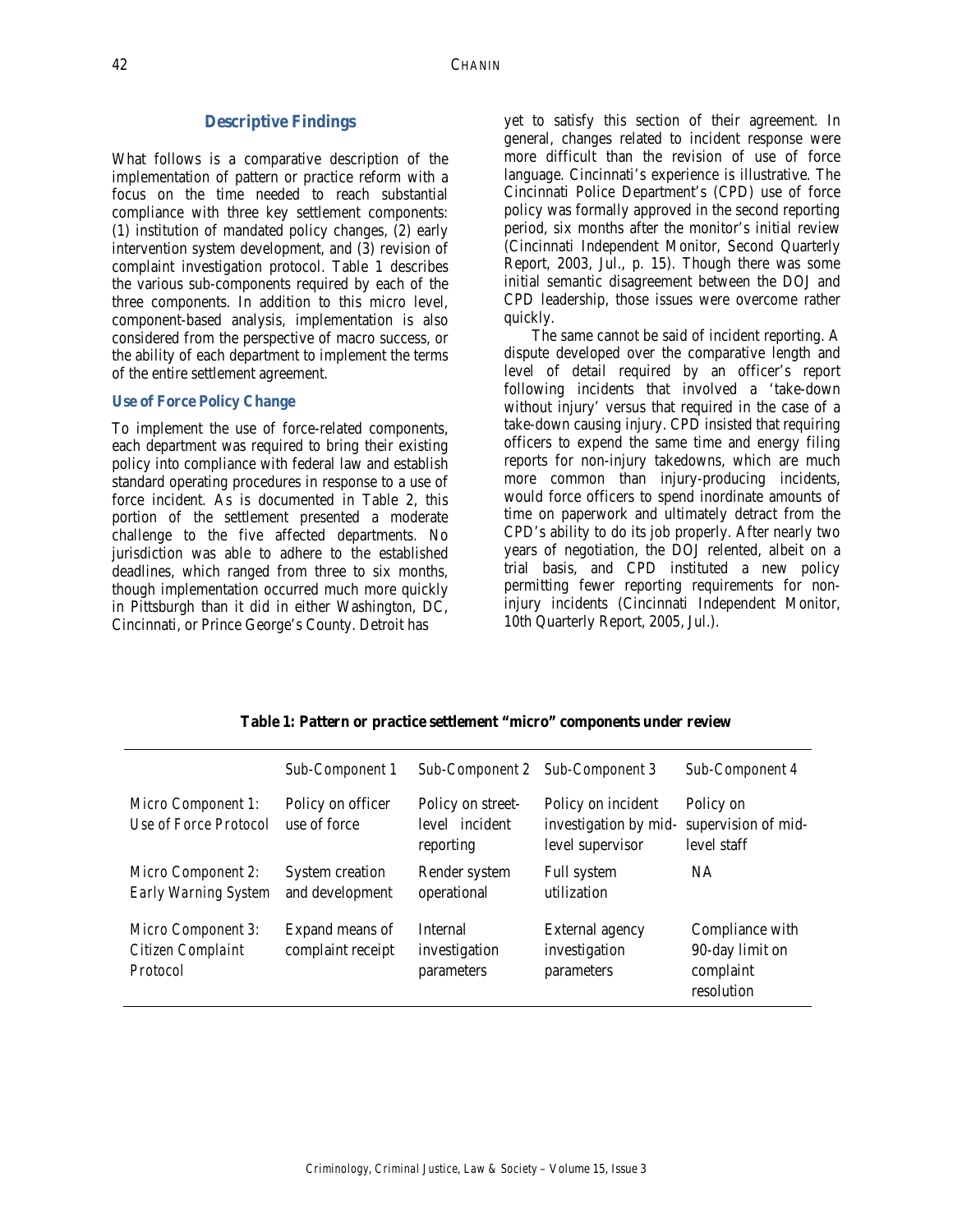#### **Descriptive Findings**

What follows is a comparative description of the implementation of pattern or practice reform with a focus on the time needed to reach substantial compliance with three key settlement components: (1) institution of mandated policy changes, (2) early intervention system development, and (3) revision of complaint investigation protocol. Table 1 describes the various sub-components required by each of the three components. In addition to this micro level, component-based analysis, implementation is also considered from the perspective of macro success, or the ability of each department to implement the terms of the entire settlement agreement.

#### **Use of Force Policy Change**

To implement the use of force-related components, each department was required to bring their existing policy into compliance with federal law and establish standard operating procedures in response to a use of force incident. As is documented in Table 2, this portion of the settlement presented a moderate challenge to the five affected departments. No jurisdiction was able to adhere to the established deadlines, which ranged from three to six months, though implementation occurred much more quickly in Pittsburgh than it did in either Washington, DC, Cincinnati, or Prince George's County. Detroit has

yet to satisfy this section of their agreement. In general, changes related to incident response were more difficult than the revision of use of force language. Cincinnati's experience is illustrative. The Cincinnati Police Department's (CPD) use of force policy was formally approved in the second reporting period, six months after the monitor's initial review (Cincinnati Independent Monitor, Second Quarterly Report, 2003, Jul., p. 15). Though there was some initial semantic disagreement between the DOJ and CPD leadership, those issues were overcome rather quickly.

The same cannot be said of incident reporting. A dispute developed over the comparative length and level of detail required by an officer's report following incidents that involved a 'take-down without injury' versus that required in the case of a take-down causing injury. CPD insisted that requiring officers to expend the same time and energy filing reports for non-injury takedowns, which are much more common than injury-producing incidents, would force officers to spend inordinate amounts of time on paperwork and ultimately detract from the CPD's ability to do its job properly. After nearly two years of negotiation, the DOJ relented, albeit on a trial basis, and CPD instituted a new policy permitting fewer reporting requirements for noninjury incidents (Cincinnati Independent Monitor, 10th Quarterly Report, 2005, Jul.).

|                                                     | Sub-Component 1                      | Sub-Component 2                                  | Sub-Component 3                                                 | Sub-Component 4                                               |
|-----------------------------------------------------|--------------------------------------|--------------------------------------------------|-----------------------------------------------------------------|---------------------------------------------------------------|
| Micro Component 1:<br>Use of Force Protocol         | Policy on officer<br>use of force    | Policy on street-<br>level incident<br>reporting | Policy on incident<br>investigation by mid-<br>level supervisor | Policy on<br>supervision of mid-<br>level staff               |
| Micro Component 2:<br>Early Warning System          | System creation<br>and development   | Render system<br>operational                     | Full system<br>utilization                                      | <b>NA</b>                                                     |
| Micro Component 3:<br>Citizen Complaint<br>Protocol | Expand means of<br>complaint receipt | Internal<br>investigation<br>parameters          | External agency<br>investigation<br>parameters                  | Compliance with<br>90-day limit on<br>complaint<br>resolution |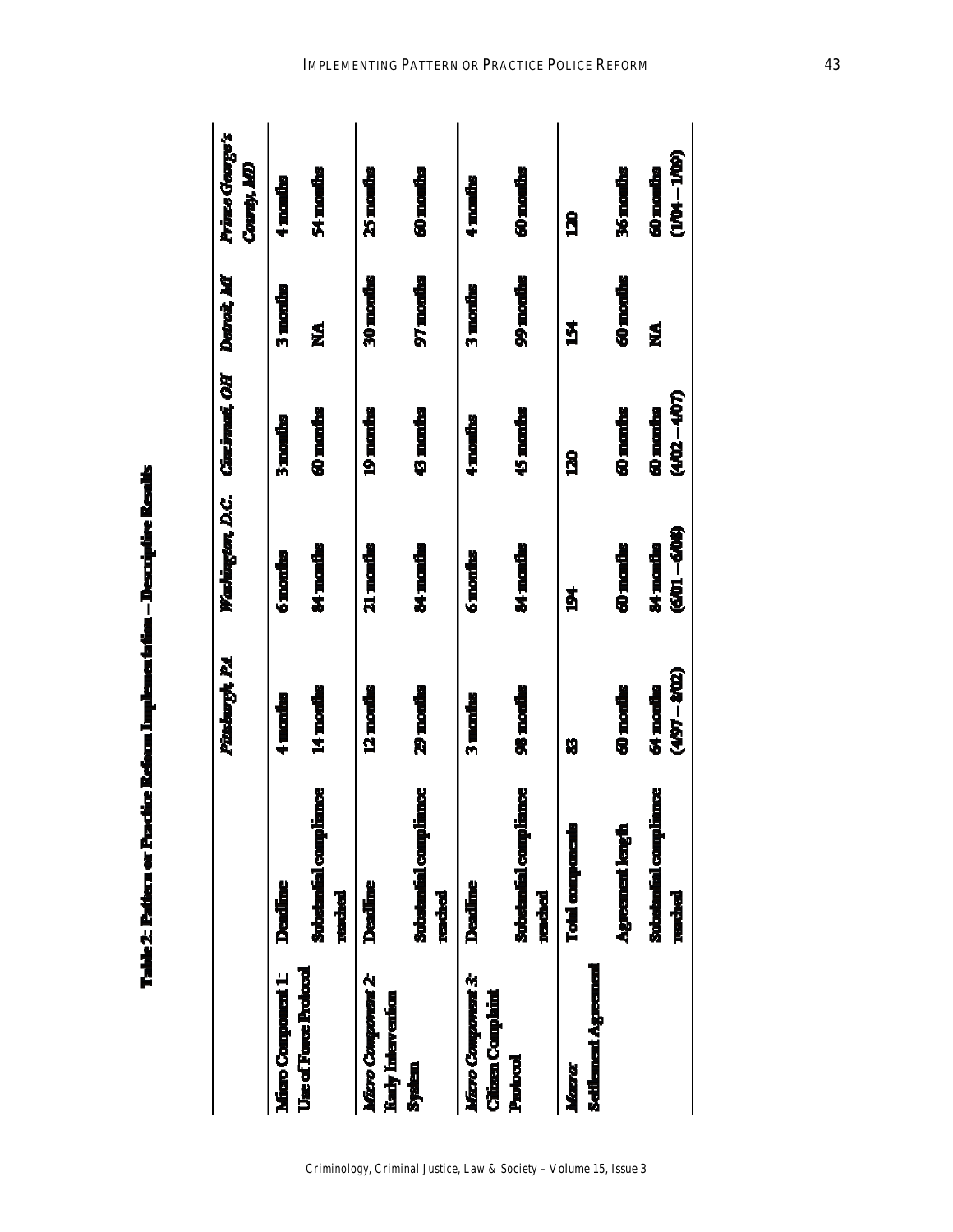| I |  |
|---|--|
|   |  |
|   |  |
|   |  |
|   |  |
|   |  |
|   |  |
|   |  |
|   |  |
|   |  |
|   |  |
|   |  |
|   |  |
|   |  |
| ı |  |
|   |  |
|   |  |
|   |  |

|                                                |                                         | Pittsburgh, P.A.           | Washington, D.C. Chrismat, OH Detroit, MI |                           |           | Prince George's            |
|------------------------------------------------|-----------------------------------------|----------------------------|-------------------------------------------|---------------------------|-----------|----------------------------|
|                                                |                                         |                            |                                           |                           |           | Courty, AM                 |
| Micro Component 1:                             | <b>Deather</b>                          | $\frac{1}{2}$ modes        | o monins                                  | 3 months                  | 3 months  | 4 manihs                   |
| <b>Use of Force Protocol</b>                   | <b>Substantial compliance</b><br>reched | 14 months                  | 84 manths                                 | 40 maribs                 | ≸         | 54 months                  |
| Micro Component 2<br>Karly Intervention        | Deadine                                 | <u> 12 months</u>          | 21 mandhs                                 | <u>19 marins</u>          | 30 months | 25 months                  |
| <b>System</b>                                  | <b>Substantial compliance</b><br>raded  | <b>29 monties</b>          | 84 mandas                                 | <b>43 marks</b>           | 97 months | 60 months                  |
| Micro Component 3:<br><b>Citizen Complaint</b> | <b>Deading</b>                          | 3 mads                     | 6 months                                  | 4 months                  | 3 months  | 4 months                   |
| Protool                                        | Substantial compliance<br><b>moded</b>  | 96 months                  | 84 manihs                                 | 45 manhs                  | 99 months | 60 months                  |
| <b>Schilment Agreement</b><br>Mara             | <b>Total companying</b>                 | Ŋ                          | ğ                                         | <b>R</b>                  | ğ         | R <sub>1</sub>             |
|                                                | Agreement length                        | 60 months                  | 60 manihs                                 | 60 months                 | 60 months | <b>36 months</b>           |
|                                                | <b>Sulationfal compliance</b><br>redded | $(497 - 802)$<br>64 months | (601–608)<br>84 marike                    | <b>(402-407)</b><br>d nak | ź         | $(104 - 100)$<br>60 months |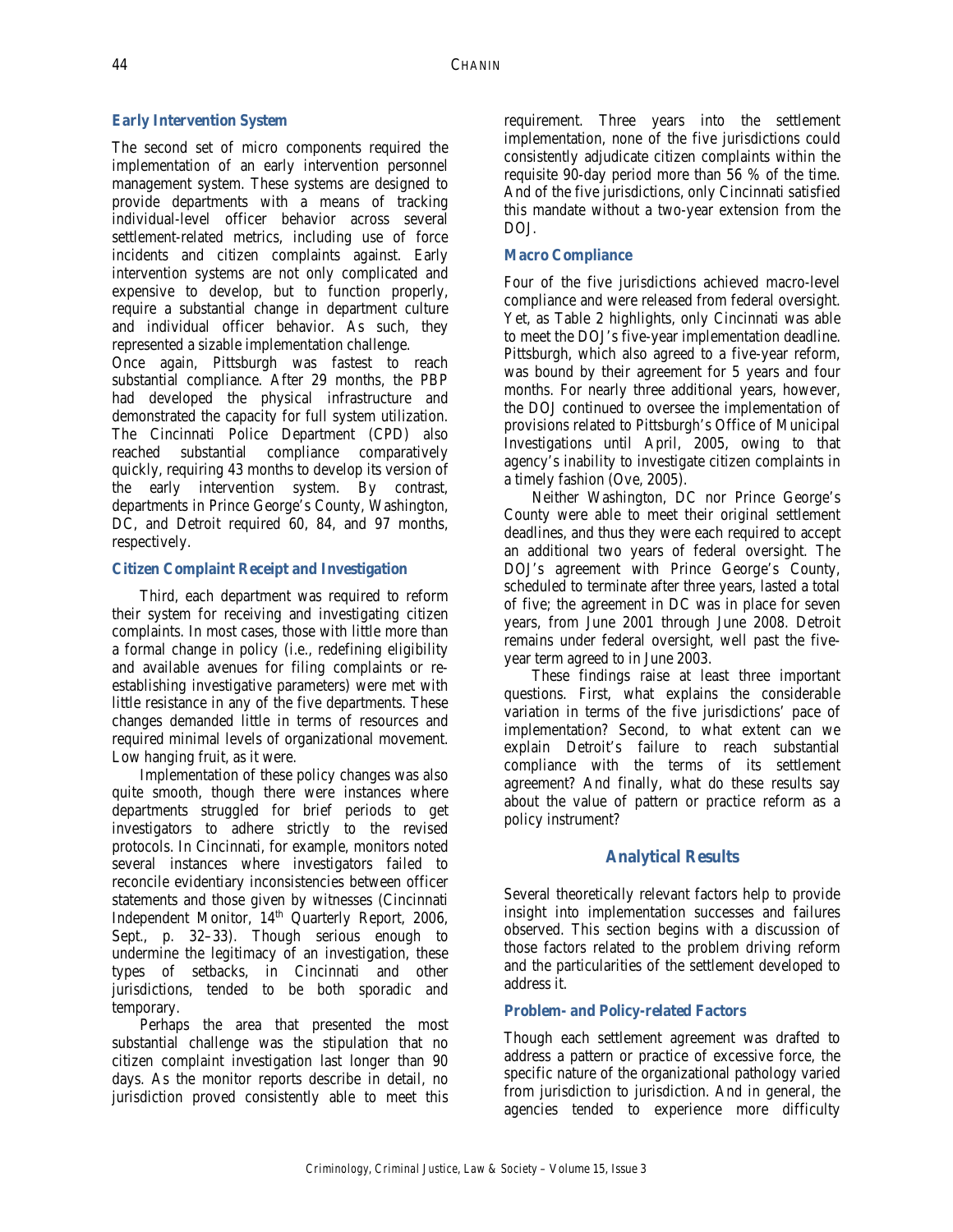# **Early Intervention System**

The second set of micro components required the implementation of an early intervention personnel management system. These systems are designed to provide departments with a means of tracking individual-level officer behavior across several settlement-related metrics, including use of force incidents and citizen complaints against. Early intervention systems are not only complicated and expensive to develop, but to function properly, require a substantial change in department culture and individual officer behavior. As such, they represented a sizable implementation challenge.

Once again, Pittsburgh was fastest to reach substantial compliance. After 29 months, the PBP had developed the physical infrastructure and demonstrated the capacity for full system utilization. The Cincinnati Police Department (CPD) also reached substantial compliance comparatively quickly, requiring 43 months to develop its version of the early intervention system. By contrast, departments in Prince George's County, Washington, DC, and Detroit required 60, 84, and 97 months, respectively.

## **Citizen Complaint Receipt and Investigation**

Third, each department was required to reform their system for receiving and investigating citizen complaints. In most cases, those with little more than a formal change in policy (i.e., redefining eligibility and available avenues for filing complaints or reestablishing investigative parameters) were met with little resistance in any of the five departments. These changes demanded little in terms of resources and required minimal levels of organizational movement. Low hanging fruit, as it were.

Implementation of these policy changes was also quite smooth, though there were instances where departments struggled for brief periods to get investigators to adhere strictly to the revised protocols. In Cincinnati, for example, monitors noted several instances where investigators failed to reconcile evidentiary inconsistencies between officer statements and those given by witnesses (Cincinnati Independent Monitor, 14<sup>th</sup> Quarterly Report, 2006, Sept., p. 32–33). Though serious enough to undermine the legitimacy of an investigation, these types of setbacks, in Cincinnati and other jurisdictions, tended to be both sporadic and temporary.

Perhaps the area that presented the most substantial challenge was the stipulation that no citizen complaint investigation last longer than 90 days. As the monitor reports describe in detail, no jurisdiction proved consistently able to meet this

requirement. Three years into the settlement implementation, none of the five jurisdictions could consistently adjudicate citizen complaints within the requisite 90-day period more than 56 % of the time. And of the five jurisdictions, only Cincinnati satisfied this mandate without a two-year extension from the DOJ.

## **Macro Compliance**

Four of the five jurisdictions achieved macro-level compliance and were released from federal oversight. Yet, as Table 2 highlights, only Cincinnati was able to meet the DOJ's five-year implementation deadline. Pittsburgh, which also agreed to a five-year reform, was bound by their agreement for 5 years and four months. For nearly three additional years, however, the DOJ continued to oversee the implementation of provisions related to Pittsburgh's Office of Municipal Investigations until April, 2005, owing to that agency's inability to investigate citizen complaints in a timely fashion (Ove, 2005).

Neither Washington, DC nor Prince George's County were able to meet their original settlement deadlines, and thus they were each required to accept an additional two years of federal oversight. The DOJ's agreement with Prince George's County, scheduled to terminate after three years, lasted a total of five; the agreement in DC was in place for seven years, from June 2001 through June 2008. Detroit remains under federal oversight, well past the fiveyear term agreed to in June 2003.

These findings raise at least three important questions. First, what explains the considerable variation in terms of the five jurisdictions' pace of implementation? Second, to what extent can we explain Detroit's failure to reach substantial compliance with the terms of its settlement agreement? And finally, what do these results say about the value of pattern or practice reform as a policy instrument?

# **Analytical Results**

Several theoretically relevant factors help to provide insight into implementation successes and failures observed. This section begins with a discussion of those factors related to the problem driving reform and the particularities of the settlement developed to address it.

# **Problem- and Policy-related Factors**

Though each settlement agreement was drafted to address a pattern or practice of excessive force, the specific nature of the organizational pathology varied from jurisdiction to jurisdiction. And in general, the agencies tended to experience more difficulty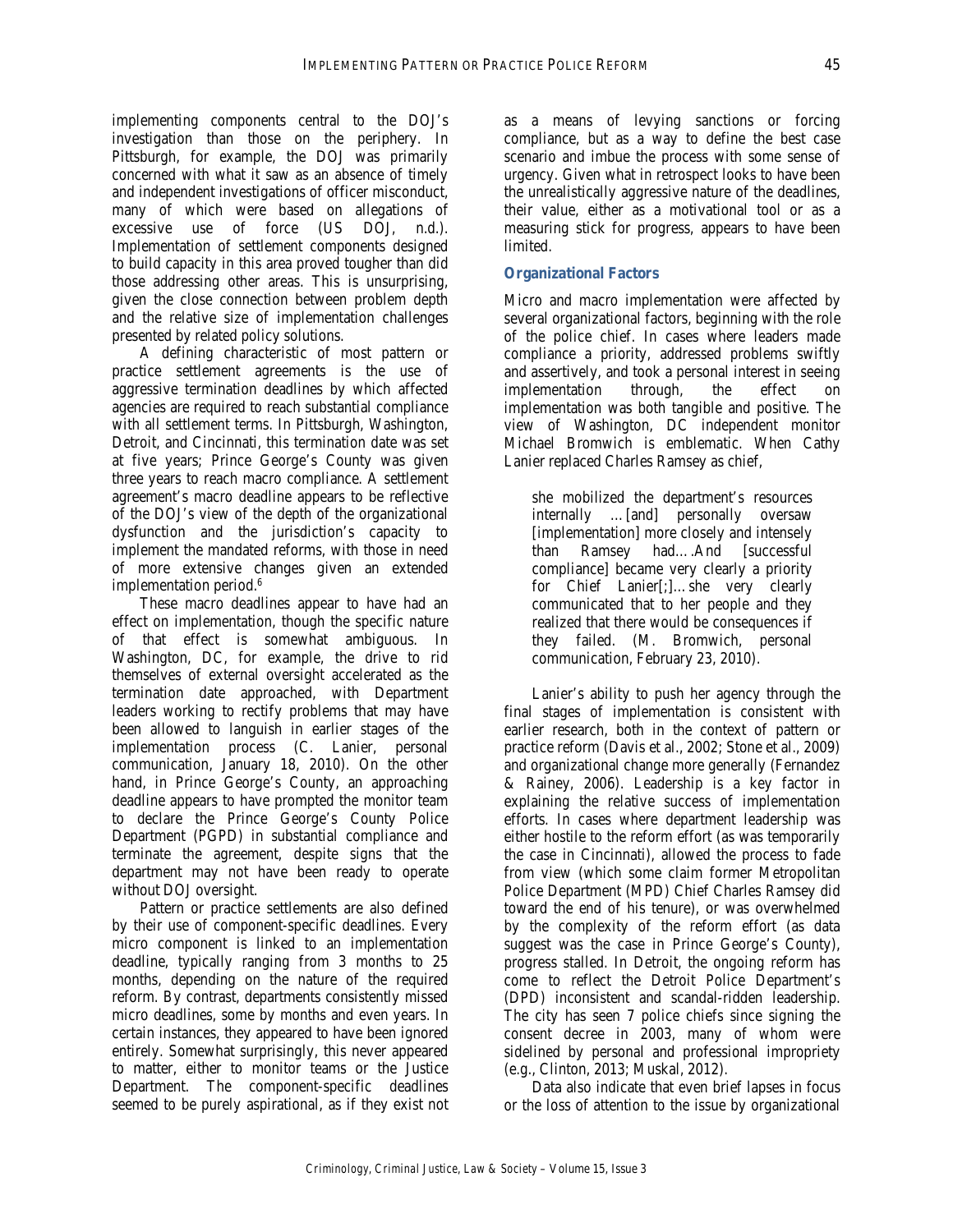implementing components central to the DOJ's investigation than those on the periphery. In Pittsburgh, for example, the DOJ was primarily concerned with what it saw as an absence of timely and independent investigations of officer misconduct, many of which were based on allegations of excessive use of force (US DOJ, n.d.). Implementation of settlement components designed to build capacity in this area proved tougher than did those addressing other areas. This is unsurprising, given the close connection between problem depth and the relative size of implementation challenges presented by related policy solutions.

A defining characteristic of most pattern or practice settlement agreements is the use of aggressive termination deadlines by which affected agencies are required to reach substantial compliance with all settlement terms. In Pittsburgh, Washington, Detroit, and Cincinnati, this termination date was set at five years; Prince George's County was given three years to reach macro compliance. A settlement agreement's macro deadline appears to be reflective of the DOJ's view of the depth of the organizational dysfunction and the jurisdiction's capacity to implement the mandated reforms, with those in need of more extensive changes given an extended implementation period.<sup>6</sup>

These macro deadlines appear to have had an effect on implementation, though the specific nature of that effect is somewhat ambiguous. In Washington, DC, for example, the drive to rid themselves of external oversight accelerated as the termination date approached, with Department leaders working to rectify problems that may have been allowed to languish in earlier stages of the implementation process (C. Lanier, personal communication, January 18, 2010). On the other hand, in Prince George's County, an approaching deadline appears to have prompted the monitor team to declare the Prince George's County Police Department (PGPD) in substantial compliance and terminate the agreement, despite signs that the department may not have been ready to operate without DOJ oversight.

Pattern or practice settlements are also defined by their use of component-specific deadlines. Every micro component is linked to an implementation deadline, typically ranging from 3 months to 25 months, depending on the nature of the required reform. By contrast, departments consistently missed micro deadlines, some by months and even years. In certain instances, they appeared to have been ignored entirely. Somewhat surprisingly, this never appeared to matter, either to monitor teams or the Justice Department. The component-specific deadlines seemed to be purely aspirational, as if they exist not as a means of levying sanctions or forcing compliance, but as a way to define the best case scenario and imbue the process with some sense of urgency. Given what in retrospect looks to have been the unrealistically aggressive nature of the deadlines, their value, either as a motivational tool or as a measuring stick for progress, appears to have been limited.

#### **Organizational Factors**

Micro and macro implementation were affected by several organizational factors, beginning with the role of the police chief. In cases where leaders made compliance a priority, addressed problems swiftly and assertively, and took a personal interest in seeing implementation through, the effect on implementation was both tangible and positive. The view of Washington, DC independent monitor Michael Bromwich is emblematic. When Cathy Lanier replaced Charles Ramsey as chief,

she mobilized the department's resources internally …[and] personally oversaw [implementation] more closely and intensely than Ramsey had….And [successful compliance] became very clearly a priority for Chief Lanier[;]…she very clearly communicated that to her people and they realized that there would be consequences if they failed. (M. Bromwich, personal communication, February 23, 2010).

Lanier's ability to push her agency through the final stages of implementation is consistent with earlier research, both in the context of pattern or practice reform (Davis et al., 2002; Stone et al., 2009) and organizational change more generally (Fernandez & Rainey, 2006). Leadership is a key factor in explaining the relative success of implementation efforts. In cases where department leadership was either hostile to the reform effort (as was temporarily the case in Cincinnati), allowed the process to fade from view (which some claim former Metropolitan Police Department (MPD) Chief Charles Ramsey did toward the end of his tenure), or was overwhelmed by the complexity of the reform effort (as data suggest was the case in Prince George's County), progress stalled. In Detroit, the ongoing reform has come to reflect the Detroit Police Department's (DPD) inconsistent and scandal-ridden leadership. The city has seen 7 police chiefs since signing the consent decree in 2003, many of whom were sidelined by personal and professional impropriety (e.g., Clinton, 2013; Muskal, 2012).

Data also indicate that even brief lapses in focus or the loss of attention to the issue by organizational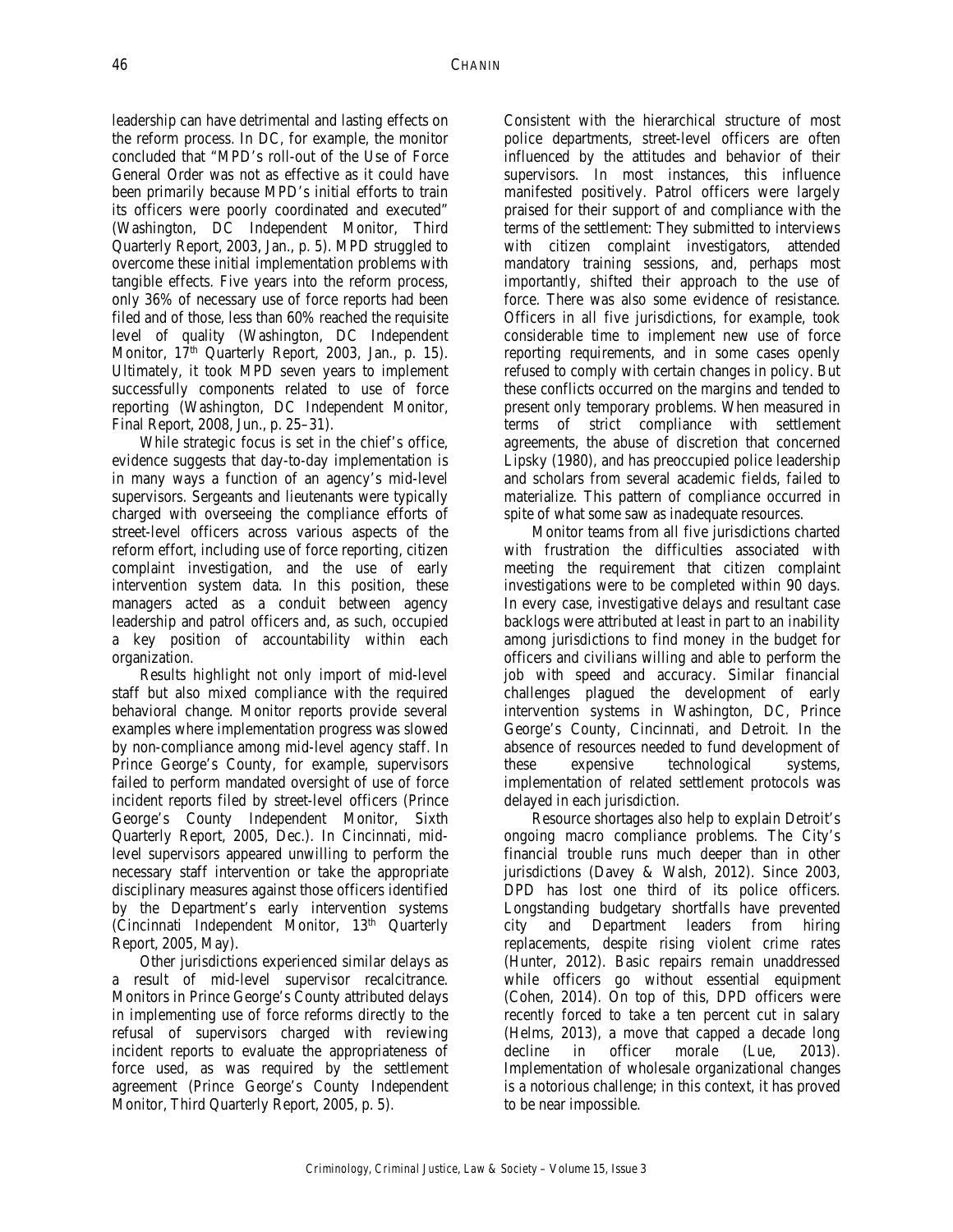leadership can have detrimental and lasting effects on the reform process. In DC, for example, the monitor concluded that "MPD's roll-out of the Use of Force General Order was not as effective as it could have been primarily because MPD's initial efforts to train its officers were poorly coordinated and executed" (Washington, DC Independent Monitor, Third Quarterly Report, 2003, Jan., p. 5). MPD struggled to overcome these initial implementation problems with tangible effects. Five years into the reform process, only 36% of necessary use of force reports had been filed and of those, less than 60% reached the requisite level of quality (Washington, DC Independent Monitor, 17<sup>th</sup> Quarterly Report, 2003, Jan., p. 15). Ultimately, it took MPD seven years to implement successfully components related to use of force reporting (Washington, DC Independent Monitor, Final Report, 2008, Jun., p. 25–31).

While strategic focus is set in the chief's office, evidence suggests that day-to-day implementation is in many ways a function of an agency's mid-level supervisors. Sergeants and lieutenants were typically charged with overseeing the compliance efforts of street-level officers across various aspects of the reform effort, including use of force reporting, citizen complaint investigation, and the use of early intervention system data. In this position, these managers acted as a conduit between agency leadership and patrol officers and, as such, occupied a key position of accountability within each organization.

Results highlight not only import of mid-level staff but also mixed compliance with the required behavioral change. Monitor reports provide several examples where implementation progress was slowed by non-compliance among mid-level agency staff. In Prince George's County, for example, supervisors failed to perform mandated oversight of use of force incident reports filed by street-level officers (Prince George's County Independent Monitor, Sixth Quarterly Report, 2005, Dec.). In Cincinnati, midlevel supervisors appeared unwilling to perform the necessary staff intervention or take the appropriate disciplinary measures against those officers identified by the Department's early intervention systems (Cincinnati Independent Monitor, 13<sup>th</sup> Quarterly Report, 2005, May).

Other jurisdictions experienced similar delays as a result of mid-level supervisor recalcitrance. Monitors in Prince George's County attributed delays in implementing use of force reforms directly to the refusal of supervisors charged with reviewing incident reports to evaluate the appropriateness of force used, as was required by the settlement agreement (Prince George's County Independent Monitor, Third Quarterly Report, 2005, p. 5).

Consistent with the hierarchical structure of most police departments, street-level officers are often influenced by the attitudes and behavior of their supervisors. In most instances, this influence manifested positively. Patrol officers were largely praised for their support of and compliance with the terms of the settlement: They submitted to interviews with citizen complaint investigators, attended mandatory training sessions, and, perhaps most importantly, shifted their approach to the use of force. There was also some evidence of resistance. Officers in all five jurisdictions, for example, took considerable time to implement new use of force reporting requirements, and in some cases openly refused to comply with certain changes in policy. But these conflicts occurred on the margins and tended to present only temporary problems. When measured in terms of strict compliance with settlement agreements, the abuse of discretion that concerned Lipsky (1980), and has preoccupied police leadership and scholars from several academic fields, failed to materialize. This pattern of compliance occurred in spite of what some saw as inadequate resources.

Monitor teams from all five jurisdictions charted with frustration the difficulties associated with meeting the requirement that citizen complaint investigations were to be completed within 90 days. In every case, investigative delays and resultant case backlogs were attributed at least in part to an inability among jurisdictions to find money in the budget for officers and civilians willing and able to perform the job with speed and accuracy. Similar financial challenges plagued the development of early intervention systems in Washington, DC, Prince George's County, Cincinnati, and Detroit. In the absence of resources needed to fund development of these expensive technological systems, implementation of related settlement protocols was delayed in each jurisdiction.

Resource shortages also help to explain Detroit's ongoing macro compliance problems. The City's financial trouble runs much deeper than in other jurisdictions (Davey & Walsh, 2012). Since 2003, DPD has lost one third of its police officers. Longstanding budgetary shortfalls have prevented city and Department leaders from hiring replacements, despite rising violent crime rates (Hunter, 2012). Basic repairs remain unaddressed while officers go without essential equipment (Cohen, 2014). On top of this, DPD officers were recently forced to take a ten percent cut in salary (Helms, 2013), a move that capped a decade long decline in officer morale (Lue, 2013). Implementation of wholesale organizational changes is a notorious challenge; in this context, it has proved to be near impossible.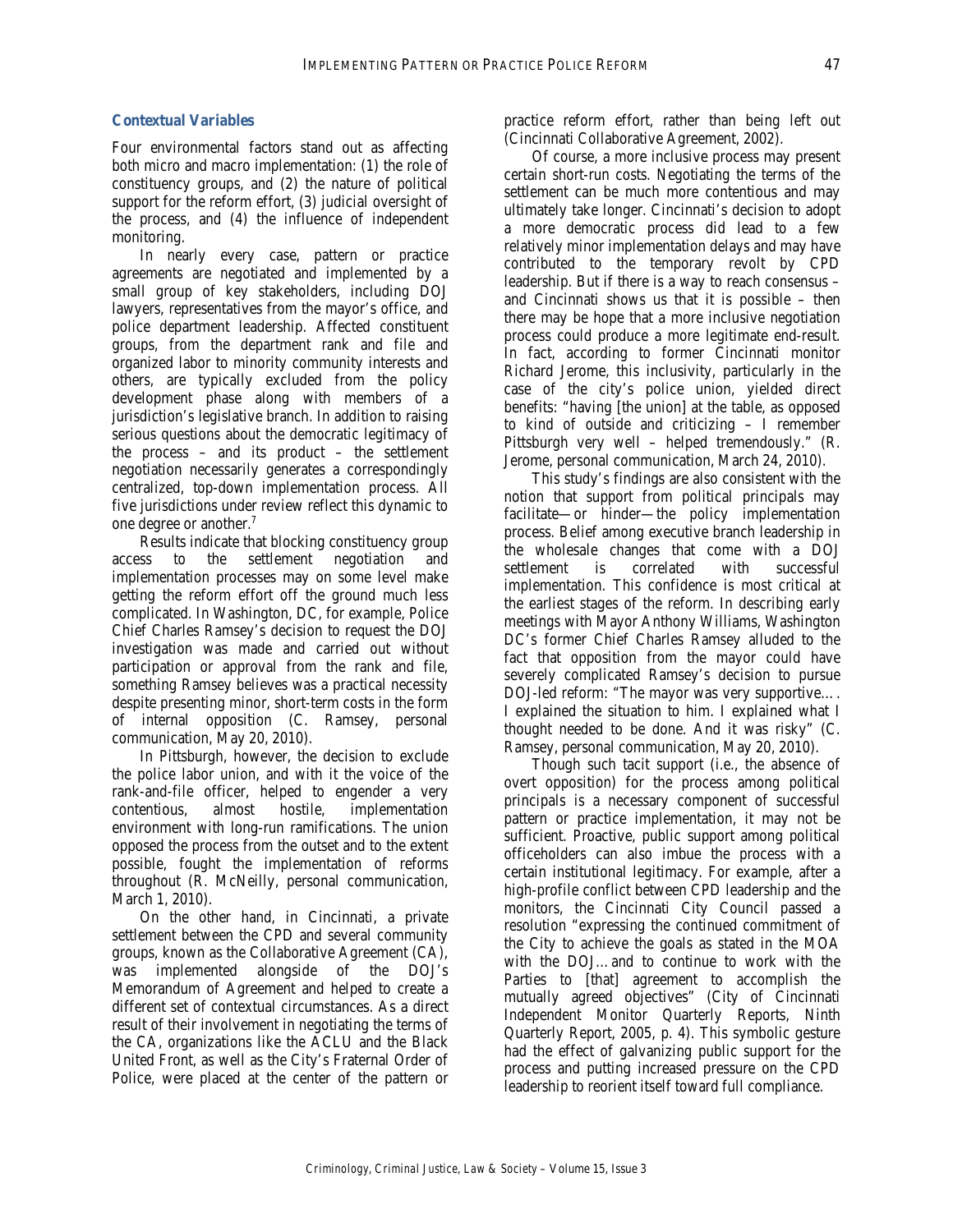#### **Contextual Variables**

Four environmental factors stand out as affecting both micro and macro implementation: (1) the role of constituency groups, and (2) the nature of political support for the reform effort, (3) judicial oversight of the process, and (4) the influence of independent monitoring.

In nearly every case, pattern or practice agreements are negotiated and implemented by a small group of key stakeholders, including DOJ lawyers, representatives from the mayor's office, and police department leadership. Affected constituent groups, from the department rank and file and organized labor to minority community interests and others, are typically excluded from the policy development phase along with members of a jurisdiction's legislative branch. In addition to raising serious questions about the democratic legitimacy of the process – and its product – the settlement negotiation necessarily generates a correspondingly centralized, top-down implementation process. All five jurisdictions under review reflect this dynamic to one degree or another.7

Results indicate that blocking constituency group access to the settlement negotiation and implementation processes may on some level make getting the reform effort off the ground much less complicated. In Washington, DC, for example, Police Chief Charles Ramsey's decision to request the DOJ investigation was made and carried out without participation or approval from the rank and file, something Ramsey believes was a practical necessity despite presenting minor, short-term costs in the form of internal opposition (C. Ramsey, personal communication, May 20, 2010).

In Pittsburgh, however, the decision to exclude the police labor union, and with it the voice of the rank-and-file officer, helped to engender a very contentious, almost hostile, implementation environment with long-run ramifications. The union opposed the process from the outset and to the extent possible, fought the implementation of reforms throughout (R. McNeilly, personal communication, March 1, 2010).

On the other hand, in Cincinnati, a private settlement between the CPD and several community groups, known as the Collaborative Agreement (CA), was implemented alongside of the DOJ's Memorandum of Agreement and helped to create a different set of contextual circumstances. As a direct result of their involvement in negotiating the terms of the CA, organizations like the ACLU and the Black United Front, as well as the City's Fraternal Order of Police, were placed at the center of the pattern or

practice reform effort, rather than being left out (Cincinnati Collaborative Agreement, 2002).

Of course, a more inclusive process may present certain short-run costs. Negotiating the terms of the settlement can be much more contentious and may ultimately take longer. Cincinnati's decision to adopt a more democratic process did lead to a few relatively minor implementation delays and may have contributed to the temporary revolt by CPD leadership. But if there is a way to reach consensus – and Cincinnati shows us that it is possible – then there may be hope that a more inclusive negotiation process could produce a more legitimate end-result. In fact, according to former Cincinnati monitor Richard Jerome, this inclusivity, particularly in the case of the city's police union, yielded direct benefits: "having [the union] at the table, as opposed to kind of outside and criticizing – I remember Pittsburgh very well – helped tremendously." (R. Jerome, personal communication, March 24, 2010).

This study's findings are also consistent with the notion that support from political principals may facilitate—or hinder—the policy implementation process. Belief among executive branch leadership in the wholesale changes that come with a DOJ settlement is correlated with successful implementation. This confidence is most critical at the earliest stages of the reform. In describing early meetings with Mayor Anthony Williams, Washington DC's former Chief Charles Ramsey alluded to the fact that opposition from the mayor could have severely complicated Ramsey's decision to pursue DOJ-led reform: "The mayor was very supportive…. I explained the situation to him. I explained what I thought needed to be done. And it was risky" (C. Ramsey, personal communication, May 20, 2010).

Though such tacit support (i.e., the absence of overt opposition) for the process among political principals is a necessary component of successful pattern or practice implementation, it may not be sufficient. Proactive, public support among political officeholders can also imbue the process with a certain institutional legitimacy. For example, after a high-profile conflict between CPD leadership and the monitors, the Cincinnati City Council passed a resolution "expressing the continued commitment of the City to achieve the goals as stated in the MOA with the DOJ…and to continue to work with the Parties to [that] agreement to accomplish the mutually agreed objectives" (City of Cincinnati Independent Monitor Quarterly Reports, Ninth Quarterly Report, 2005, p. 4). This symbolic gesture had the effect of galvanizing public support for the process and putting increased pressure on the CPD leadership to reorient itself toward full compliance.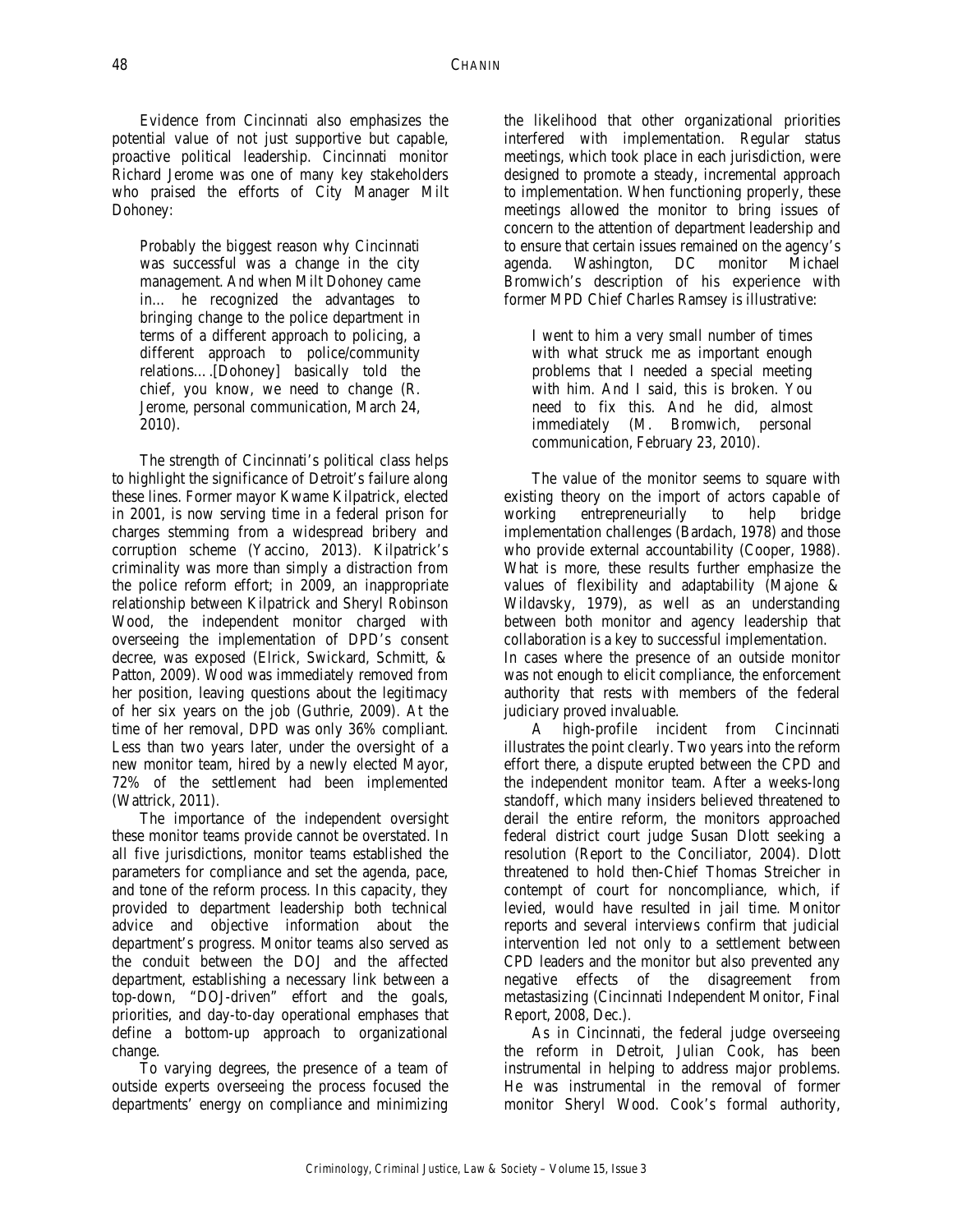Evidence from Cincinnati also emphasizes the potential value of not just supportive but capable, proactive political leadership. Cincinnati monitor Richard Jerome was one of many key stakeholders who praised the efforts of City Manager Milt Dohoney:

Probably the biggest reason why Cincinnati was successful was a change in the city management. And when Milt Dohoney came in… he recognized the advantages to bringing change to the police department in terms of a different approach to policing, a different approach to police/community relations….[Dohoney] basically told the chief, you know, we need to change (R. Jerome, personal communication, March 24, 2010).

The strength of Cincinnati's political class helps to highlight the significance of Detroit's failure along these lines. Former mayor Kwame Kilpatrick, elected in 2001, is now serving time in a federal prison for charges stemming from a widespread bribery and corruption scheme (Yaccino, 2013). Kilpatrick's criminality was more than simply a distraction from the police reform effort; in 2009, an inappropriate relationship between Kilpatrick and Sheryl Robinson Wood, the independent monitor charged with overseeing the implementation of DPD's consent decree, was exposed (Elrick, Swickard, Schmitt, & Patton, 2009). Wood was immediately removed from her position, leaving questions about the legitimacy of her six years on the job (Guthrie, 2009). At the time of her removal, DPD was only 36% compliant. Less than two years later, under the oversight of a new monitor team, hired by a newly elected Mayor, 72% of the settlement had been implemented (Wattrick, 2011).

The importance of the independent oversight these monitor teams provide cannot be overstated. In all five jurisdictions, monitor teams established the parameters for compliance and set the agenda, pace, and tone of the reform process. In this capacity, they provided to department leadership both technical advice and objective information about the department's progress. Monitor teams also served as the conduit between the DOJ and the affected department, establishing a necessary link between a top-down, "DOJ-driven" effort and the goals, priorities, and day-to-day operational emphases that define a bottom-up approach to organizational change.

To varying degrees, the presence of a team of outside experts overseeing the process focused the departments' energy on compliance and minimizing

the likelihood that other organizational priorities interfered with implementation. Regular status meetings, which took place in each jurisdiction, were designed to promote a steady, incremental approach to implementation. When functioning properly, these meetings allowed the monitor to bring issues of concern to the attention of department leadership and to ensure that certain issues remained on the agency's agenda. Washington, DC monitor Michael Bromwich's description of his experience with former MPD Chief Charles Ramsey is illustrative:

I went to him a very small number of times with what struck me as important enough problems that I needed a special meeting with him. And I said, this is broken. You need to fix this. And he did, almost immediately (M. Bromwich, personal communication, February 23, 2010).

The value of the monitor seems to square with existing theory on the import of actors capable of working entrepreneurially to help bridge implementation challenges (Bardach, 1978) and those who provide external accountability (Cooper, 1988). What is more, these results further emphasize the values of flexibility and adaptability (Majone & Wildavsky, 1979), as well as an understanding between both monitor and agency leadership that collaboration is a key to successful implementation. In cases where the presence of an outside monitor was not enough to elicit compliance, the enforcement authority that rests with members of the federal judiciary proved invaluable.

A high-profile incident from Cincinnati illustrates the point clearly. Two years into the reform effort there, a dispute erupted between the CPD and the independent monitor team. After a weeks-long standoff, which many insiders believed threatened to derail the entire reform, the monitors approached federal district court judge Susan Dlott seeking a resolution (Report to the Conciliator, 2004). Dlott threatened to hold then-Chief Thomas Streicher in contempt of court for noncompliance, which, if levied, would have resulted in jail time. Monitor reports and several interviews confirm that judicial intervention led not only to a settlement between CPD leaders and the monitor but also prevented any negative effects of the disagreement from metastasizing (Cincinnati Independent Monitor, Final Report, 2008, Dec.).

As in Cincinnati, the federal judge overseeing the reform in Detroit, Julian Cook, has been instrumental in helping to address major problems. He was instrumental in the removal of former monitor Sheryl Wood. Cook's formal authority,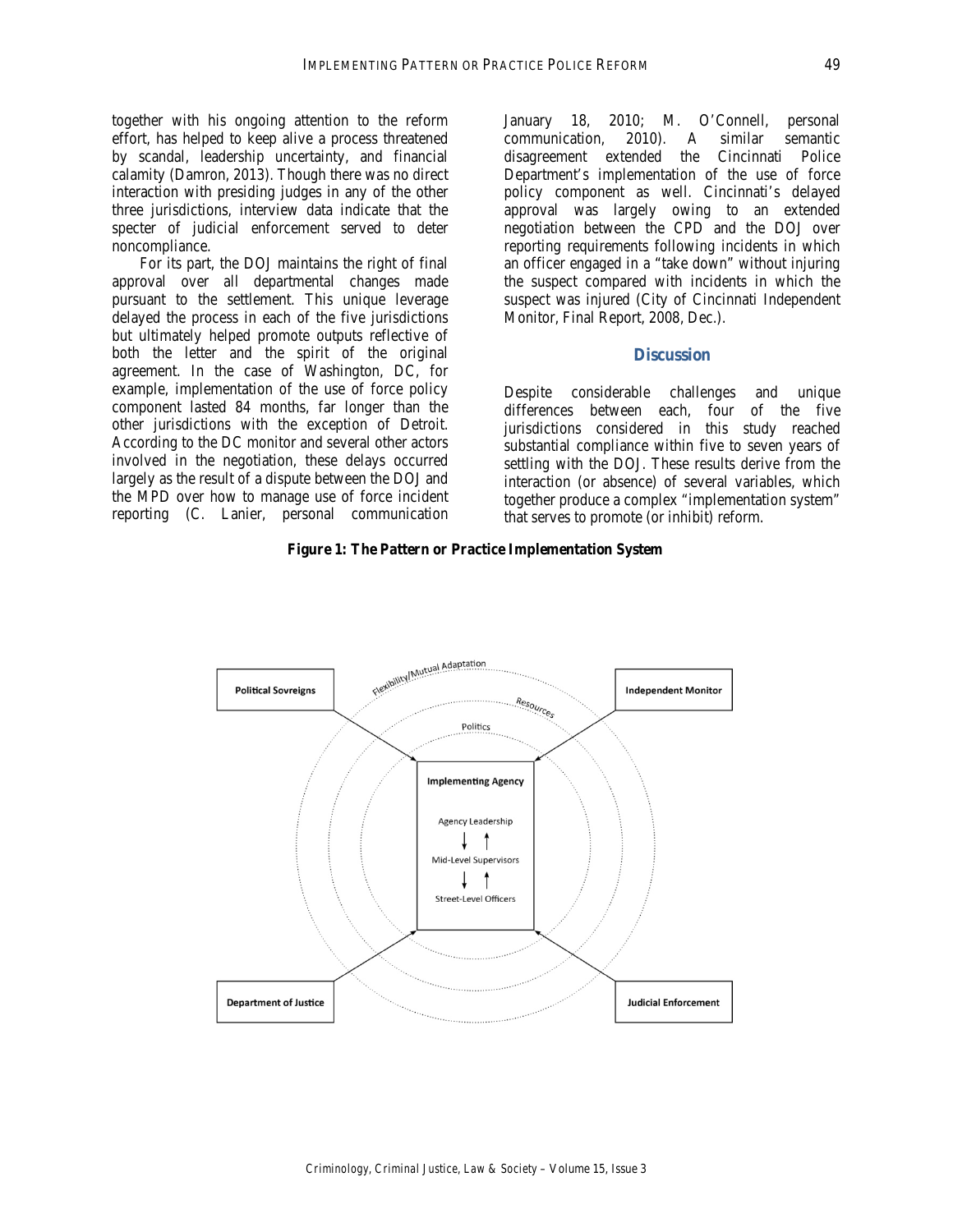together with his ongoing attention to the reform effort, has helped to keep alive a process threatened by scandal, leadership uncertainty, and financial calamity (Damron, 2013). Though there was no direct interaction with presiding judges in any of the other three jurisdictions, interview data indicate that the specter of judicial enforcement served to deter noncompliance.

For its part, the DOJ maintains the right of final approval over all departmental changes made pursuant to the settlement. This unique leverage delayed the process in each of the five jurisdictions but ultimately helped promote outputs reflective of both the letter and the spirit of the original agreement. In the case of Washington, DC, for example, implementation of the use of force policy component lasted 84 months, far longer than the other jurisdictions with the exception of Detroit. According to the DC monitor and several other actors involved in the negotiation, these delays occurred largely as the result of a dispute between the DOJ and the MPD over how to manage use of force incident reporting (C. Lanier, personal communication

January 18, 2010; M. O'Connell, personal communication, 2010). A similar semantic disagreement extended the Cincinnati Police Department's implementation of the use of force policy component as well. Cincinnati's delayed approval was largely owing to an extended negotiation between the CPD and the DOJ over reporting requirements following incidents in which an officer engaged in a "take down" without injuring the suspect compared with incidents in which the suspect was injured (City of Cincinnati Independent Monitor, Final Report, 2008, Dec.).

# **Discussion**

Despite considerable challenges and unique differences between each, four of the five jurisdictions considered in this study reached substantial compliance within five to seven years of settling with the DOJ. These results derive from the interaction (or absence) of several variables, which together produce a complex "implementation system" that serves to promote (or inhibit) reform.

#### **Figure 1: The Pattern or Practice Implementation System**

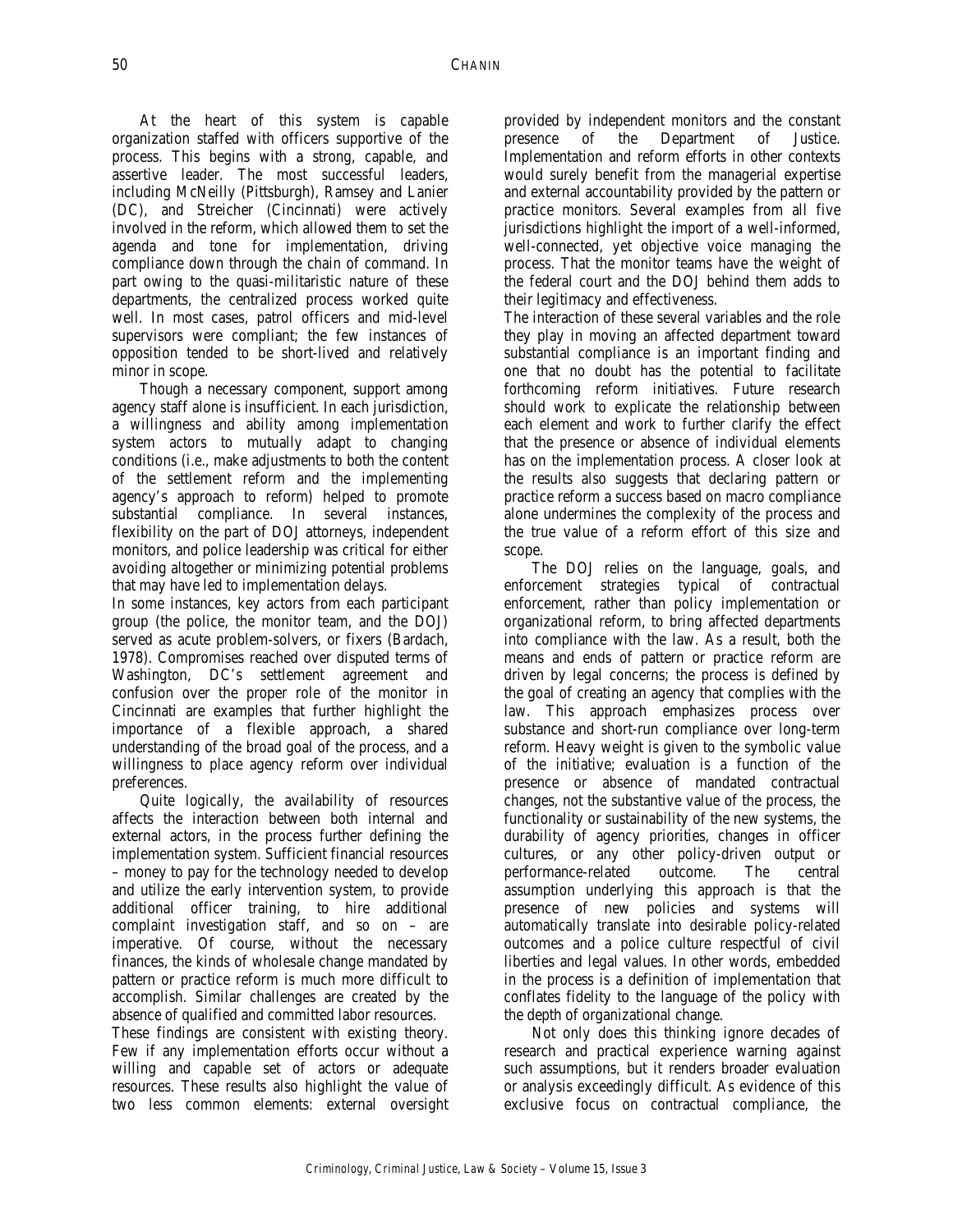At the heart of this system is capable organization staffed with officers supportive of the process. This begins with a strong, capable, and assertive leader. The most successful leaders, including McNeilly (Pittsburgh), Ramsey and Lanier (DC), and Streicher (Cincinnati) were actively involved in the reform, which allowed them to set the agenda and tone for implementation, driving compliance down through the chain of command. In part owing to the quasi-militaristic nature of these departments, the centralized process worked quite well. In most cases, patrol officers and mid-level supervisors were compliant; the few instances of opposition tended to be short-lived and relatively minor in scope.

Though a necessary component, support among agency staff alone is insufficient. In each jurisdiction, a willingness and ability among implementation system actors to mutually adapt to changing conditions (i.e., make adjustments to both the content of the settlement reform and the implementing agency's approach to reform) helped to promote substantial compliance. In several instances, flexibility on the part of DOJ attorneys, independent monitors, and police leadership was critical for either avoiding altogether or minimizing potential problems that may have led to implementation delays.

In some instances, key actors from each participant group (the police, the monitor team, and the DOJ) served as acute problem-solvers, or fixers (Bardach, 1978). Compromises reached over disputed terms of Washington, DC's settlement agreement and confusion over the proper role of the monitor in Cincinnati are examples that further highlight the importance of a flexible approach, a shared understanding of the broad goal of the process, and a willingness to place agency reform over individual preferences.

Quite logically, the availability of resources affects the interaction between both internal and external actors, in the process further defining the implementation system. Sufficient financial resources – money to pay for the technology needed to develop and utilize the early intervention system, to provide additional officer training, to hire additional complaint investigation staff, and so on – are imperative. Of course, without the necessary finances, the kinds of wholesale change mandated by pattern or practice reform is much more difficult to accomplish. Similar challenges are created by the absence of qualified and committed labor resources.

These findings are consistent with existing theory. Few if any implementation efforts occur without a willing and capable set of actors or adequate resources. These results also highlight the value of two less common elements: external oversight

provided by independent monitors and the constant presence of the Department of Justice. Implementation and reform efforts in other contexts would surely benefit from the managerial expertise and external accountability provided by the pattern or practice monitors. Several examples from all five jurisdictions highlight the import of a well-informed, well-connected, yet objective voice managing the process. That the monitor teams have the weight of the federal court and the DOJ behind them adds to their legitimacy and effectiveness.

The interaction of these several variables and the role they play in moving an affected department toward substantial compliance is an important finding and one that no doubt has the potential to facilitate forthcoming reform initiatives. Future research should work to explicate the relationship between each element and work to further clarify the effect that the presence or absence of individual elements has on the implementation process. A closer look at the results also suggests that declaring pattern or practice reform a success based on macro compliance alone undermines the complexity of the process and the true value of a reform effort of this size and scope.

The DOJ relies on the language, goals, and enforcement strategies typical of contractual enforcement, rather than policy implementation or organizational reform, to bring affected departments into compliance with the law. As a result, both the means and ends of pattern or practice reform are driven by legal concerns; the process is defined by the goal of creating an agency that complies with the law. This approach emphasizes process over substance and short-run compliance over long-term reform. Heavy weight is given to the symbolic value of the initiative; evaluation is a function of the presence or absence of mandated contractual changes, not the substantive value of the process, the functionality or sustainability of the new systems, the durability of agency priorities, changes in officer cultures, or any other policy-driven output or performance-related outcome. The central assumption underlying this approach is that the presence of new policies and systems will automatically translate into desirable policy-related outcomes and a police culture respectful of civil liberties and legal values. In other words, embedded in the process is a definition of implementation that conflates fidelity to the language of the policy with the depth of organizational change.

Not only does this thinking ignore decades of research and practical experience warning against such assumptions, but it renders broader evaluation or analysis exceedingly difficult. As evidence of this exclusive focus on contractual compliance, the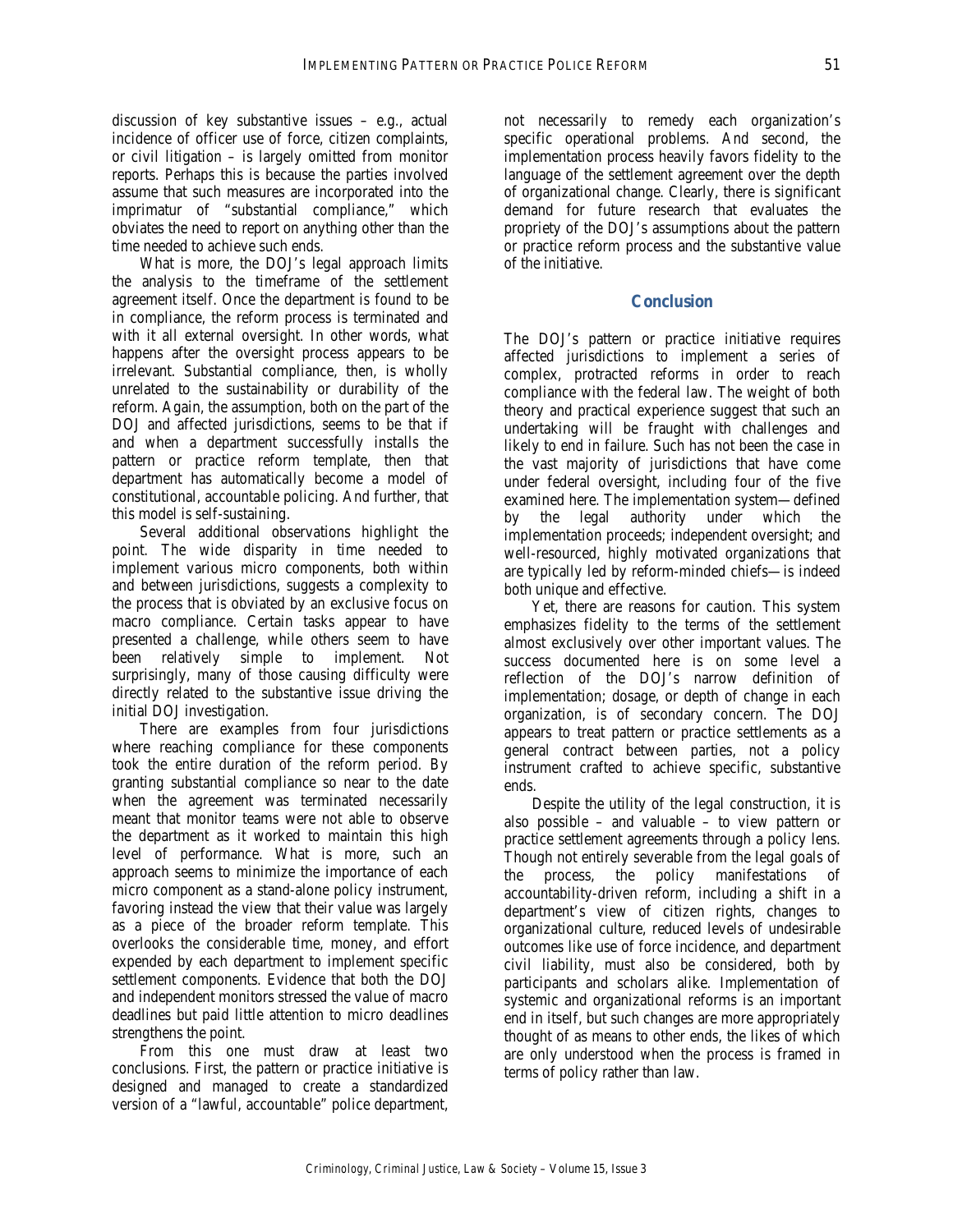discussion of key substantive issues – e.g., actual incidence of officer use of force, citizen complaints, or civil litigation – is largely omitted from monitor reports. Perhaps this is because the parties involved assume that such measures are incorporated into the imprimatur of "substantial compliance," which obviates the need to report on anything other than the time needed to achieve such ends.

What is more, the DOJ's legal approach limits the analysis to the timeframe of the settlement agreement itself. Once the department is found to be in compliance, the reform process is terminated and with it all external oversight. In other words, what happens after the oversight process appears to be irrelevant. Substantial compliance, then, is wholly unrelated to the sustainability or durability of the reform. Again, the assumption, both on the part of the DOJ and affected jurisdictions, seems to be that if and when a department successfully installs the pattern or practice reform template, then that department has automatically become a model of constitutional, accountable policing. And further, that this model is self-sustaining.

Several additional observations highlight the point. The wide disparity in time needed to implement various micro components, both within and between jurisdictions, suggests a complexity to the process that is obviated by an exclusive focus on macro compliance. Certain tasks appear to have presented a challenge, while others seem to have been relatively simple to implement. Not surprisingly, many of those causing difficulty were directly related to the substantive issue driving the initial DOJ investigation.

There are examples from four jurisdictions where reaching compliance for these components took the entire duration of the reform period. By granting substantial compliance so near to the date when the agreement was terminated necessarily meant that monitor teams were not able to observe the department as it worked to maintain this high level of performance. What is more, such an approach seems to minimize the importance of each micro component as a stand-alone policy instrument, favoring instead the view that their value was largely as a piece of the broader reform template. This overlooks the considerable time, money, and effort expended by each department to implement specific settlement components. Evidence that both the DOJ and independent monitors stressed the value of macro deadlines but paid little attention to micro deadlines strengthens the point.

From this one must draw at least two conclusions. First, the pattern or practice initiative is designed and managed to create a standardized version of a "lawful, accountable" police department,

not necessarily to remedy each organization's specific operational problems. And second, the implementation process heavily favors fidelity to the language of the settlement agreement over the depth of organizational change. Clearly, there is significant demand for future research that evaluates the propriety of the DOJ's assumptions about the pattern or practice reform process and the substantive value of the initiative.

## **Conclusion**

The DOJ's pattern or practice initiative requires affected jurisdictions to implement a series of complex, protracted reforms in order to reach compliance with the federal law. The weight of both theory and practical experience suggest that such an undertaking will be fraught with challenges and likely to end in failure. Such has not been the case in the vast majority of jurisdictions that have come under federal oversight, including four of the five examined here. The implementation system—defined by the legal authority under which the implementation proceeds; independent oversight; and well-resourced, highly motivated organizations that are typically led by reform-minded chiefs—is indeed both unique and effective.

Yet, there are reasons for caution. This system emphasizes fidelity to the terms of the settlement almost exclusively over other important values. The success documented here is on some level a reflection of the DOJ's narrow definition of implementation; dosage, or depth of change in each organization, is of secondary concern. The DOJ appears to treat pattern or practice settlements as a general contract between parties, not a policy instrument crafted to achieve specific, substantive ends.

Despite the utility of the legal construction, it is also possible – and valuable – to view pattern or practice settlement agreements through a policy lens. Though not entirely severable from the legal goals of the process, the policy manifestations of accountability-driven reform, including a shift in a department's view of citizen rights, changes to organizational culture, reduced levels of undesirable outcomes like use of force incidence, and department civil liability, must also be considered, both by participants and scholars alike. Implementation of systemic and organizational reforms is an important end in itself, but such changes are more appropriately thought of as means to other ends, the likes of which are only understood when the process is framed in terms of policy rather than law.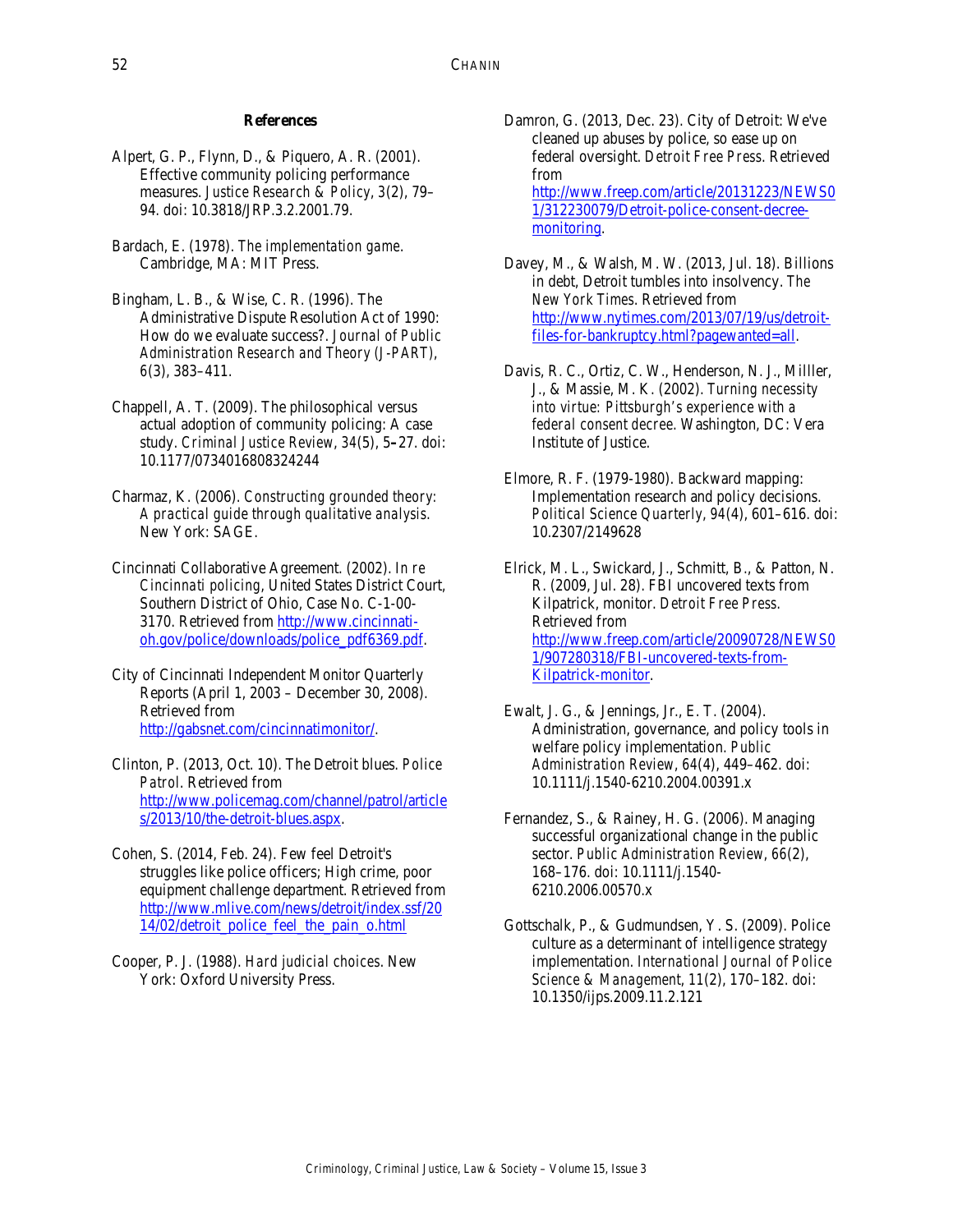#### **References**

- Alpert, G. P., Flynn, D., & Piquero, A. R. (2001). Effective community policing performance measures. *Justice Research & Policy*, *3*(2), 79– 94. doi: 10.3818/JRP.3.2.2001.79.
- Bardach, E. (1978). *The implementation game*. Cambridge, MA: MIT Press.
- Bingham, L. B., & Wise, C. R. (1996). The Administrative Dispute Resolution Act of 1990: How do we evaluate success?. *Journal of Public Administration Research and Theory (J-PART)*, *6*(3), 383–411.
- Chappell, A. T. (2009). The philosophical versus actual adoption of community policing: A case study. *Criminal Justice Review*, *34*(5), 5**–**27. doi: 10.1177/0734016808324244
- Charmaz, K. (2006). *Constructing grounded theory: A practical guide through qualitative analysis*. New York: SAGE.
- Cincinnati Collaborative Agreement. (2002). *In re Cincinnati policing*, United States District Court, Southern District of Ohio, Case No. C-1-00- 3170. Retrieved from http://www.cincinnatioh.gov/police/downloads/police\_pdf6369.pdf.
- City of Cincinnati Independent Monitor Quarterly Reports (April 1, 2003 – December 30, 2008). Retrieved from http://gabsnet.com/cincinnatimonitor/.
- Clinton, P. (2013, Oct. 10). The Detroit blues. *Police Patrol*. Retrieved from http://www.policemag.com/channel/patrol/article s/2013/10/the-detroit-blues.aspx.
- Cohen, S. (2014, Feb. 24). Few feel Detroit's struggles like police officers; High crime, poor equipment challenge department. Retrieved from http://www.mlive.com/news/detroit/index.ssf/20 14/02/detroit\_police\_feel\_the\_pain\_o.html
- Cooper, P. J. (1988). *Hard judicial choices*. New York: Oxford University Press.
- Damron, G. (2013, Dec. 23). City of Detroit: We've cleaned up abuses by police, so ease up on federal oversight. *Detroit Free Press*. Retrieved from http://www.freep.com/article/20131223/NEWS0 1/312230079/Detroit-police-consent-decreemonitoring.
- Davey, M., & Walsh, M. W. (2013, Jul. 18). Billions in debt, Detroit tumbles into insolvency. *The New York Times*. Retrieved from http://www.nytimes.com/2013/07/19/us/detroitfiles-for-bankruptcy.html?pagewanted=all.
- Davis, R. C., Ortiz, C. W., Henderson, N. J., Milller, J., & Massie, M. K. (2002). *Turning necessity into virtue: Pittsburgh's experience with a federal consent decree*. Washington, DC: Vera Institute of Justice.
- Elmore, R. F. (1979-1980). Backward mapping: Implementation research and policy decisions. *Political Science Quarterly*, *94*(4), 601–616. doi: 10.2307/2149628

Elrick, M. L., Swickard, J., Schmitt, B., & Patton, N. R. (2009, Jul. 28). FBI uncovered texts from Kilpatrick, monitor. *Detroit Free Press*. Retrieved from http://www.freep.com/article/20090728/NEWS0 1/907280318/FBI-uncovered-texts-from-Kilpatrick-monitor.

- Ewalt, J. G., & Jennings, Jr., E. T. (2004). Administration, governance, and policy tools in welfare policy implementation. *Public Administration Review*, *64*(4), 449–462. doi: 10.1111/j.1540-6210.2004.00391.x
- Fernandez, S., & Rainey, H. G. (2006). Managing successful organizational change in the public sector. *Public Administration Review*, *66*(2), 168–176. doi: 10.1111/j.1540- 6210.2006.00570.x
- Gottschalk, P., & Gudmundsen, Y. S. (2009). Police culture as a determinant of intelligence strategy implementation. *International Journal of Police Science & Management*, *11*(2), 170–182. doi: 10.1350/ijps.2009.11.2.121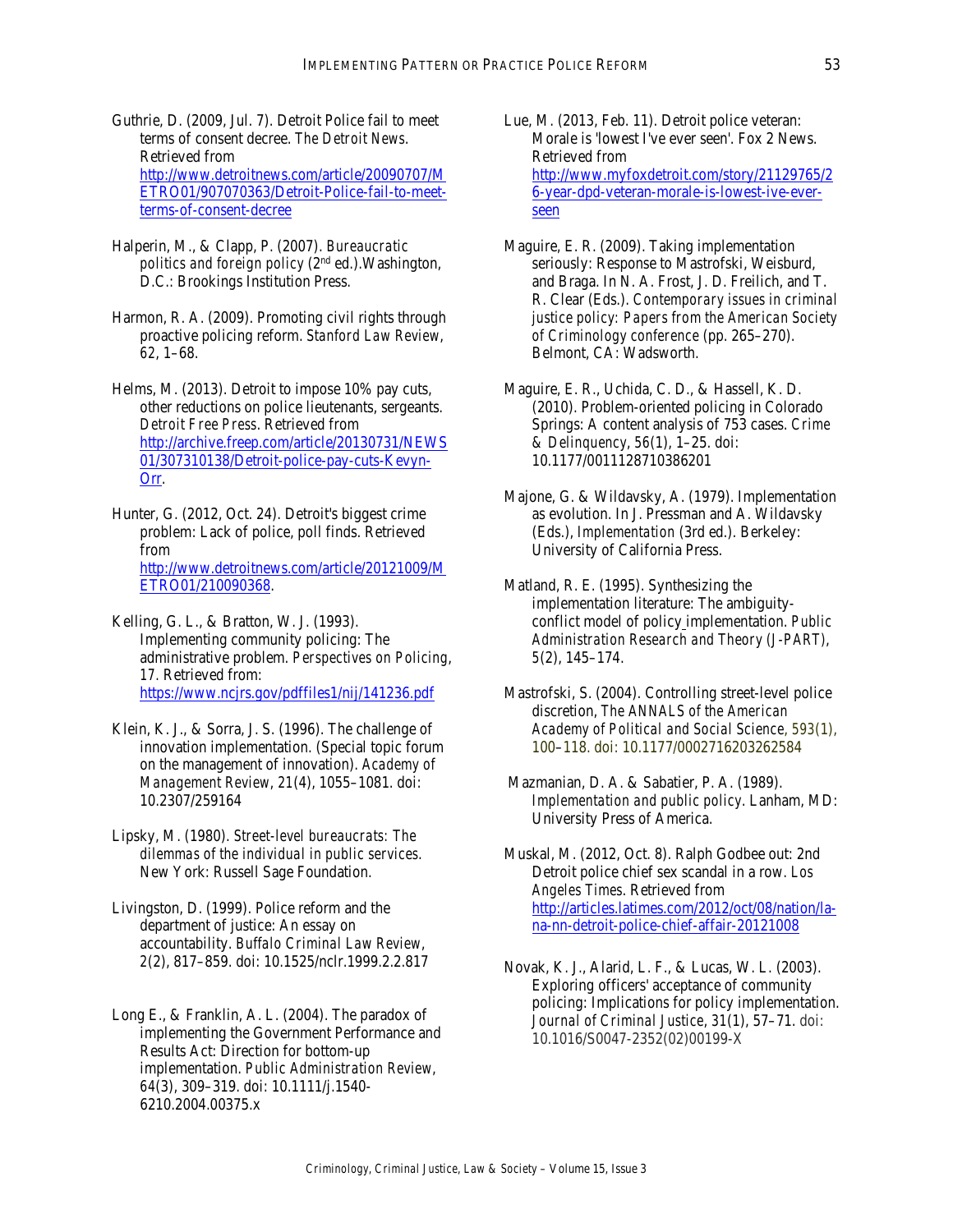- Guthrie, D. (2009, Jul. 7). Detroit Police fail to meet terms of consent decree. *The Detroit News*. Retrieved from http://www.detroitnews.com/article/20090707/M ETRO01/907070363/Detroit-Police-fail-to-meetterms-of-consent-decree
- Halperin, M., & Clapp, P. (2007). *Bureaucratic politics and foreign policy* (2nd ed.).Washington, D.C.: Brookings Institution Press.
- Harmon, R. A. (2009). Promoting civil rights through proactive policing reform. *Stanford Law Review*, *62*, 1–68.
- Helms, M. (2013). Detroit to impose 10% pay cuts, other reductions on police lieutenants, sergeants. *Detroit Free Press*. Retrieved from http://archive.freep.com/article/20130731/NEWS 01/307310138/Detroit-police-pay-cuts-Kevyn-Orr.

Hunter, G. (2012, Oct. 24). Detroit's biggest crime problem: Lack of police, poll finds. Retrieved from http://www.detroitnews.com/article/20121009/M ETRO01/210090368.

Kelling, G. L., & Bratton, W. J. (1993). Implementing community policing: The administrative problem. *Perspectives on Policing*, *17.* Retrieved from: https://www.ncjrs.gov/pdffiles1/nij/141236.pdf

- Klein, K. J., & Sorra, J. S. (1996). The challenge of innovation implementation. (Special topic forum on the management of innovation). *Academy of Management Review*, *21*(4), 1055–1081. doi: 10.2307/259164
- Lipsky, M. (1980). *Street-level bureaucrats: The dilemmas of the individual in public services*. New York: Russell Sage Foundation.

Livingston, D. (1999). Police reform and the department of justice: An essay on accountability. *Buffalo Criminal Law Review*, *2*(2), 817–859. doi: 10.1525/nclr.1999.2.2.817

Long E., & Franklin, A. L. (2004). The paradox of implementing the Government Performance and Results Act: Direction for bottom-up implementation. *Public Administration Review*, *64*(3), 309–319. doi: 10.1111/j.1540- 6210.2004.00375.x

- Lue, M. (2013, Feb. 11). Detroit police veteran: Morale is 'lowest I've ever seen'. Fox 2 News. Retrieved from http://www.myfoxdetroit.com/story/21129765/2 6-year-dpd-veteran-morale-is-lowest-ive-everseen
- Maguire, E. R. (2009). Taking implementation seriously: Response to Mastrofski, Weisburd, and Braga. In N. A. Frost, J. D. Freilich, and T. R. Clear (Eds.). *Contemporary issues in criminal justice policy: Papers from the American Society of Criminology conference* (pp. 265–270). Belmont, CA: Wadsworth.
- Maguire, E. R., Uchida, C. D., & Hassell, K. D. (2010). Problem-oriented policing in Colorado Springs: A content analysis of 753 cases. *Crime & Delinquency*, *56*(1), 1–25. doi: 10.1177/0011128710386201
- Majone, G. & Wildavsky, A. (1979). Implementation as evolution. In J. Pressman and A. Wildavsky (Eds.), *Implementation* (3rd ed.). Berkeley: University of California Press.
- Matland, R. E. (1995). Synthesizing the implementation literature: The ambiguityconflict model of policy implementation. *Public Administration Research and Theory (J-PART)*, *5*(2), 145–174.
- Mastrofski, S. (2004). Controlling street-level police discretion, *The ANNALS of the American Academy of Political and Social Science*, *593*(1), 100–118. doi: 10.1177/0002716203262584
- Mazmanian, D. A. & Sabatier, P. A. (1989). *Implementation and public policy*. Lanham, MD: University Press of America.
- Muskal, M. (2012, Oct. 8). Ralph Godbee out: 2nd Detroit police chief sex scandal in a row. *Los Angeles Times*. Retrieved from http://articles.latimes.com/2012/oct/08/nation/lana-nn-detroit-police-chief-affair-20121008
- Novak, K. J., Alarid, L. F., & Lucas, W. L. (2003). Exploring officers' acceptance of community policing: Implications for policy implementation. *Journal of Criminal Justice*, *31*(1), 57–71. doi: 10.1016/S0047-2352(02)00199-X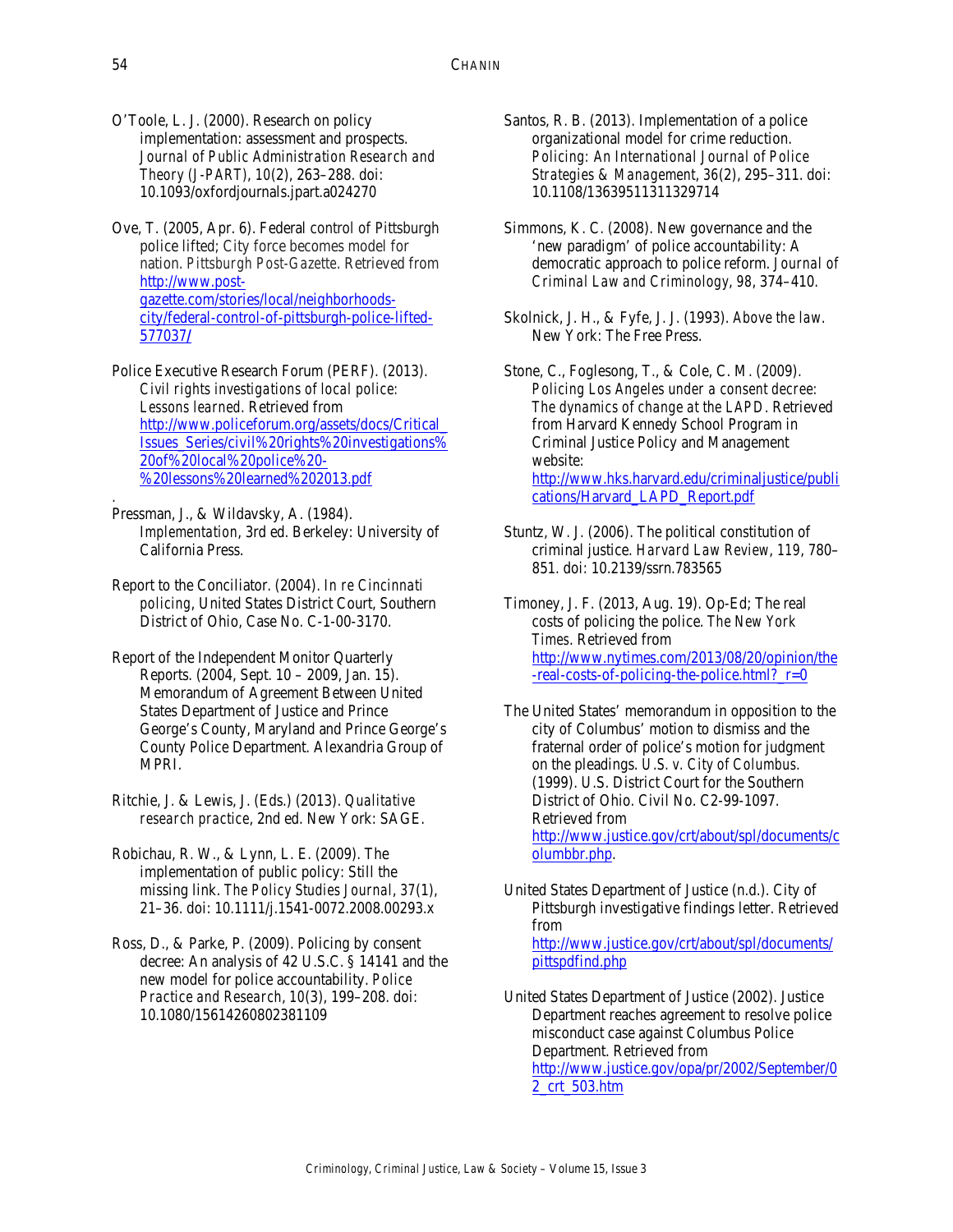O'Toole, L. J. (2000). Research on policy implementation: assessment and prospects. *Journal of Public Administration Research and Theory (J-PART)*, *10*(2), 263–288. doi: 10.1093/oxfordjournals.jpart.a024270

Ove, T. (2005, Apr. 6). Federal control of Pittsburgh police lifted; City force becomes model for nation. *Pittsburgh Post-Gazette*. Retrieved from http://www.postgazette.com/stories/local/neighborhoodscity/federal-control-of-pittsburgh-police-lifted-577037**/**

- Police Executive Research Forum (PERF). (2013). *Civil rights investigations of local police: Lessons learned*. Retrieved from http://www.policeforum.org/assets/docs/Critical\_ Issues\_Series/civil%20rights%20investigations% 20of%20local%20police%20- %20lessons%20learned%202013.pdf
- Pressman, J., & Wildavsky, A. (1984). *Implementation*, 3rd ed. Berkeley: University of California Press.
- Report to the Conciliator. (2004). *In re Cincinnati policing*, United States District Court, Southern District of Ohio, Case No. C-1-00-3170.
- Report of the Independent Monitor Quarterly Reports. (2004, Sept. 10 – 2009, Jan. 15). Memorandum of Agreement Between United States Department of Justice and Prince George's County, Maryland and Prince George's County Police Department. Alexandria Group of MPRI.
- Ritchie, J. & Lewis, J. (Eds.) (2013). *Qualitative research practice*, 2nd ed. New York: SAGE.
- Robichau, R. W., & Lynn, L. E. (2009). The implementation of public policy: Still the missing link. *The Policy Studies Journal*, *37*(1), 21–36. doi: 10.1111/j.1541-0072.2008.00293.x
- Ross, D., & Parke, P. (2009). Policing by consent decree: An analysis of 42 U.S.C. § 14141 and the new model for police accountability. *Police Practice and Research*, *10*(3), 199–208. doi: 10.1080/15614260802381109
- Santos, R. B. (2013). Implementation of a police organizational model for crime reduction. *Policing: An International Journal of Police Strategies & Management*, *36*(2), 295–311. doi: 10.1108/13639511311329714
- Simmons, K. C. (2008). New governance and the 'new paradigm' of police accountability: A democratic approach to police reform. *Journal of Criminal Law and Criminology*, *98*, 374–410.
- Skolnick, J. H., & Fyfe, J. J. (1993). *Above the law*. New York: The Free Press.

Stone, C., Foglesong, T., & Cole, C. M. (2009). *Policing Los Angeles under a consent decree: The dynamics of change at the LAPD*. Retrieved from Harvard Kennedy School Program in Criminal Justice Policy and Management website: http://www.hks.harvard.edu/criminaljustice/publi cations/Harvard\_LAPD\_Report.pdf

Stuntz, W. J. (2006). The political constitution of criminal justice. *Harvard Law Review*, *119*, 780– 851. doi: 10.2139/ssrn.783565

Timoney, J. F. (2013, Aug. 19). Op-Ed; The real costs of policing the police. *The New York Times*. Retrieved from http://www.nytimes.com/2013/08/20/opinion/the -real-costs-of-policing-the-police.html?\_r=0

- The United States' memorandum in opposition to the city of Columbus' motion to dismiss and the fraternal order of police's motion for judgment on the pleadings. *U.S. v. City of Columbus*. (1999). U.S. District Court for the Southern District of Ohio. Civil No. C2-99-1097. Retrieved from http://www.justice.gov/crt/about/spl/documents/c olumbbr.php.
- United States Department of Justice (n.d.). City of Pittsburgh investigative findings letter. Retrieved from http://www.justice.gov/crt/about/spl/documents/ pittspdfind.php
- United States Department of Justice (2002). Justice Department reaches agreement to resolve police misconduct case against Columbus Police Department. Retrieved from http://www.justice.gov/opa/pr/2002/September/0 2\_crt\_503.htm

*.*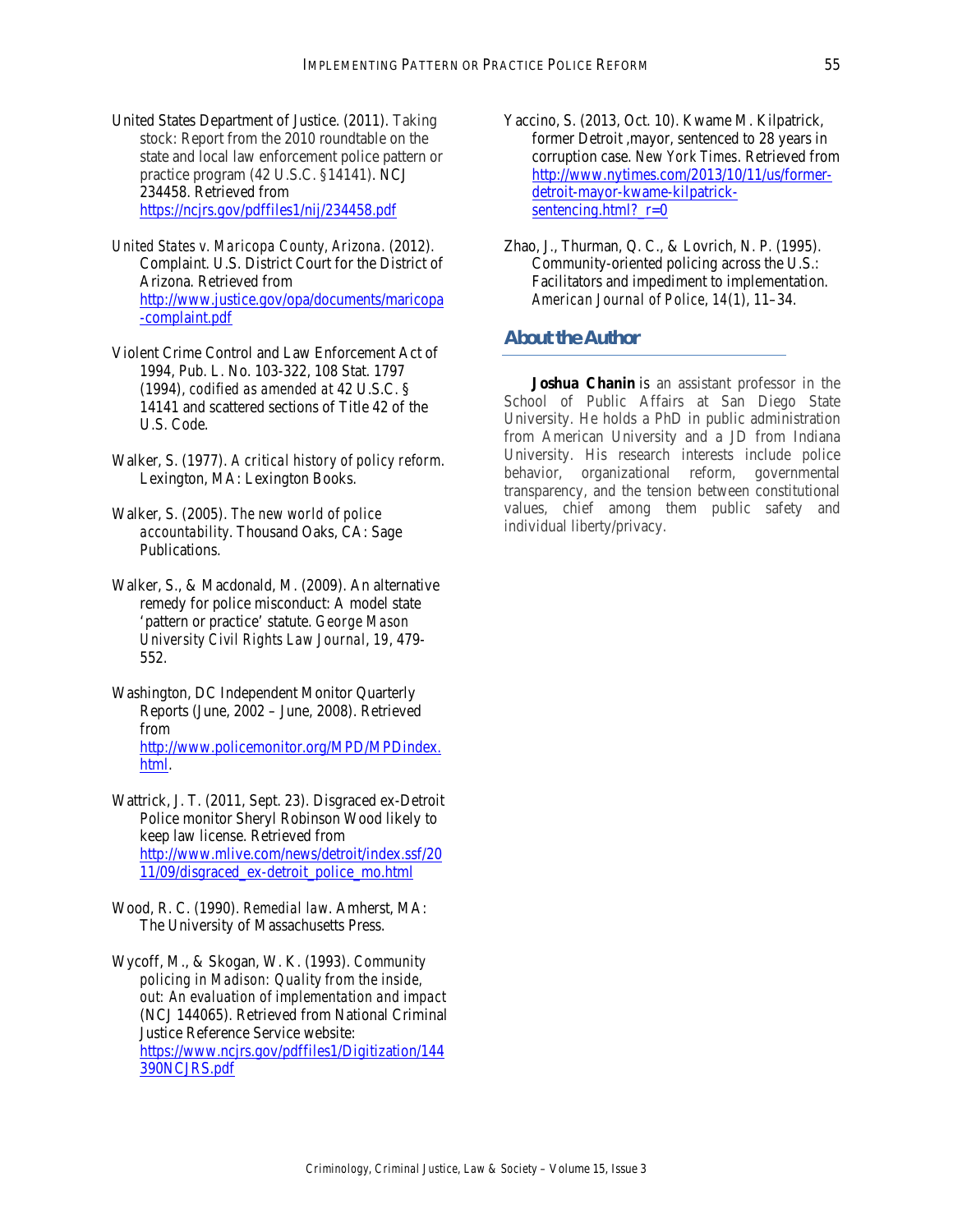- United States Department of Justice. (2011). Taking stock: Report from the 2010 roundtable on the state and local law enforcement police pattern or practice program (42 U.S.C. §14141). NCJ 234458. Retrieved from https://ncjrs.gov/pdffiles1/nij/234458.pdf
- *United States v. Maricopa County, Arizona*. (2012). Complaint. U.S. District Court for the District of Arizona. Retrieved from http://www.justice.gov/opa/documents/maricopa -complaint.pdf
- Violent Crime Control and Law Enforcement Act of 1994, Pub. L. No. 103-322, 108 Stat. 1797 (1994), *codified as amended at* 42 U.S.C. § 14141 and scattered sections of Title 42 of the U.S. Code.
- Walker, S. (1977). *A critical history of policy reform*. Lexington, MA: Lexington Books.
- Walker, S. (2005). *The new world of police accountability*. Thousand Oaks, CA: Sage Publications.
- Walker, S., & Macdonald, M. (2009). An alternative remedy for police misconduct: A model state 'pattern or practice' statute. *George Mason University Civil Rights Law Journal*, *19*, 479- 552.
- Washington, DC Independent Monitor Quarterly Reports (June, 2002 – June, 2008). Retrieved from http://www.policemonitor.org/MPD/MPDindex. html.
- Wattrick, J. T. (2011, Sept. 23). Disgraced ex-Detroit Police monitor Sheryl Robinson Wood likely to keep law license. Retrieved from http://www.mlive.com/news/detroit/index.ssf/20 11/09/disgraced\_ex-detroit\_police\_mo.html
- Wood, R. C. (1990). *Remedial law*. Amherst, MA: The University of Massachusetts Press.
- Wycoff, M., & Skogan, W. K. (1993). *Community policing in Madison: Quality from the inside, out: An evaluation of implementation and impact*  (NCJ 144065). Retrieved from National Criminal Justice Reference Service website: https://www.ncjrs.gov/pdffiles1/Digitization/144 390NCJRS.pdf
- Yaccino, S. (2013, Oct. 10). Kwame M. Kilpatrick, former Detroit ,mayor, sentenced to 28 years in corruption case. *New York Times*. Retrieved from http://www.nytimes.com/2013/10/11/us/formerdetroit-mayor-kwame-kilpatricksentencing.html?  $r=0$
- Zhao, J., Thurman, Q. C., & Lovrich, N. P. (1995). Community-oriented policing across the U.S.: Facilitators and impediment to implementation. *American Journal of Police*, *14*(1), 11–34.

# *About the Author*

**Joshua Chanin** is an assistant professor in the School of Public Affairs at San Diego State University. He holds a PhD in public administration from American University and a JD from Indiana University. His research interests include police behavior, organizational reform, governmental transparency, and the tension between constitutional values, chief among them public safety and individual liberty/privacy.